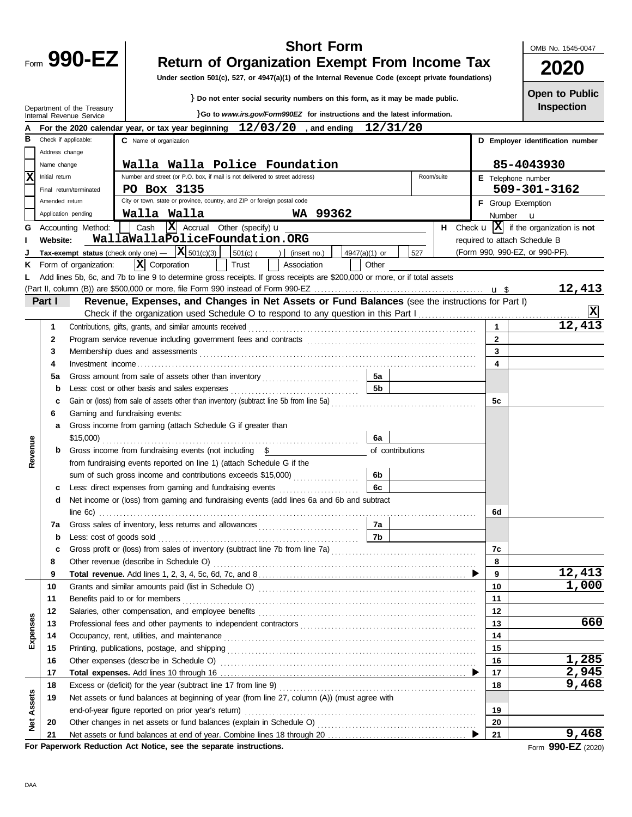| Form | $990 -$ |
|------|---------|
|      |         |

Department of the Treasury

### **Short Form**

OMB No. 1545-0047

# **990-EZ** Return of Organization Exempt From Income Tax 2020

**Under section 501(c), 527, or 4947(a)(1) of the Internal Revenue Code (except private foundations)**

} **Do not enter social security numbers on this form, as it may be made public.**

}**Go to** *www.irs.gov/Form990EZ* **for instructions and the latest information.**

**Inspection Open to Public**

|                         |                | Internal Revenue Service                                                                                                                                                                                                       |  |                                                                             |  |  |  |                                                     |  |  |                               |  |               | o to <i>www.irs.gov/Formyyuez</i> for instructions and the latest information.                  |            |  |       |                |                                |                                                                       |
|-------------------------|----------------|--------------------------------------------------------------------------------------------------------------------------------------------------------------------------------------------------------------------------------|--|-----------------------------------------------------------------------------|--|--|--|-----------------------------------------------------|--|--|-------------------------------|--|---------------|-------------------------------------------------------------------------------------------------|------------|--|-------|----------------|--------------------------------|-----------------------------------------------------------------------|
|                         |                | For the 2020 calendar year, or tax year beginning $12/03/20$ , and ending                                                                                                                                                      |  |                                                                             |  |  |  |                                                     |  |  |                               |  |               | 12/31/20                                                                                        |            |  |       |                |                                |                                                                       |
| в                       |                | Check if applicable:                                                                                                                                                                                                           |  | C Name of organization                                                      |  |  |  |                                                     |  |  |                               |  |               |                                                                                                 |            |  |       |                |                                | D Employer identification number                                      |
|                         | Address change |                                                                                                                                                                                                                                |  |                                                                             |  |  |  |                                                     |  |  |                               |  |               |                                                                                                 |            |  |       |                |                                |                                                                       |
|                         | Name change    |                                                                                                                                                                                                                                |  |                                                                             |  |  |  |                                                     |  |  | Walla Walla Police Foundation |  |               |                                                                                                 |            |  |       |                | 85-4043930                     |                                                                       |
| $\overline{\mathbf{x}}$ | Initial return |                                                                                                                                                                                                                                |  | Number and street (or P.O. box, if mail is not delivered to street address) |  |  |  |                                                     |  |  |                               |  |               |                                                                                                 | Room/suite |  |       |                | E Telephone number             |                                                                       |
|                         |                | Final return/terminated                                                                                                                                                                                                        |  | PO Box 3135                                                                 |  |  |  |                                                     |  |  |                               |  |               |                                                                                                 |            |  |       |                | 509-301-3162                   |                                                                       |
|                         | Amended return |                                                                                                                                                                                                                                |  | City or town, state or province, country, and ZIP or foreign postal code    |  |  |  |                                                     |  |  |                               |  |               |                                                                                                 |            |  |       |                | F Group Exemption              |                                                                       |
|                         |                | Application pending                                                                                                                                                                                                            |  | Walla Walla                                                                 |  |  |  |                                                     |  |  | WA 99362                      |  |               |                                                                                                 |            |  |       |                | Number <b>u</b>                |                                                                       |
| G                       |                | Accounting Method:                                                                                                                                                                                                             |  | Cash                                                                        |  |  |  | $ \mathbf{X} $ Accrual Other (specify) $\mathbf{u}$ |  |  |                               |  |               |                                                                                                 |            |  |       |                |                                | <b>H</b> Check $\mathbf{u}$ $ \mathbf{X} $ if the organization is not |
|                         | Website:       |                                                                                                                                                                                                                                |  | WallaWallaPoliceFoundation.ORG                                              |  |  |  |                                                     |  |  |                               |  |               |                                                                                                 |            |  |       |                | required to attach Schedule B  |                                                                       |
|                         |                | Tax-exempt status (check only one) $ \mathbf{X}$ 501(c)(3)                                                                                                                                                                     |  |                                                                             |  |  |  |                                                     |  |  | $ 501(c) ( ) $ (insert no.)   |  | 4947(a)(1) or | 527                                                                                             |            |  |       |                | (Form 990, 990-EZ, or 990-PF). |                                                                       |
|                         |                | K Form of organization:                                                                                                                                                                                                        |  | $ \mathbf{X} $ Corporation                                                  |  |  |  | Trust                                               |  |  | Association                   |  | Other         |                                                                                                 |            |  |       |                |                                |                                                                       |
| L                       |                | Add lines 5b, 6c, and 7b to line 9 to determine gross receipts. If gross receipts are \$200,000 or more, or if total assets                                                                                                    |  |                                                                             |  |  |  |                                                     |  |  |                               |  |               |                                                                                                 |            |  |       |                |                                |                                                                       |
|                         |                |                                                                                                                                                                                                                                |  |                                                                             |  |  |  |                                                     |  |  |                               |  |               |                                                                                                 |            |  |       |                |                                | 12,413                                                                |
|                         | Part I         |                                                                                                                                                                                                                                |  |                                                                             |  |  |  |                                                     |  |  |                               |  |               | Revenue, Expenses, and Changes in Net Assets or Fund Balances (see the instructions for Part I) |            |  |       |                |                                |                                                                       |
|                         |                |                                                                                                                                                                                                                                |  |                                                                             |  |  |  |                                                     |  |  |                               |  |               |                                                                                                 |            |  |       |                |                                |                                                                       |
|                         | 1              | Contributions, gifts, grants, and similar amounts received                                                                                                                                                                     |  |                                                                             |  |  |  |                                                     |  |  |                               |  |               |                                                                                                 |            |  |       |                |                                | 12,413                                                                |
|                         | 2              |                                                                                                                                                                                                                                |  |                                                                             |  |  |  |                                                     |  |  |                               |  |               |                                                                                                 |            |  |       | $\overline{2}$ |                                |                                                                       |
|                         | 3              | Membership dues and assessments with an according to the state of the state of the state of the state of the state of the state of the state of the state of the state of the state of the state of the state of the state of  |  |                                                                             |  |  |  |                                                     |  |  |                               |  |               |                                                                                                 |            |  |       | 3              |                                |                                                                       |
|                         | 4              |                                                                                                                                                                                                                                |  |                                                                             |  |  |  |                                                     |  |  |                               |  |               |                                                                                                 |            |  |       | 4              |                                |                                                                       |
|                         | 5а             |                                                                                                                                                                                                                                |  |                                                                             |  |  |  |                                                     |  |  |                               |  | 5а            |                                                                                                 |            |  |       |                |                                |                                                                       |
|                         | b              |                                                                                                                                                                                                                                |  |                                                                             |  |  |  |                                                     |  |  |                               |  | 5b            |                                                                                                 |            |  |       |                |                                |                                                                       |
|                         | c              |                                                                                                                                                                                                                                |  |                                                                             |  |  |  |                                                     |  |  |                               |  |               |                                                                                                 |            |  |       | 5c             |                                |                                                                       |
|                         | 6              | Gaming and fundraising events:                                                                                                                                                                                                 |  |                                                                             |  |  |  |                                                     |  |  |                               |  |               |                                                                                                 |            |  |       |                |                                |                                                                       |
|                         | a              | Gross income from gaming (attach Schedule G if greater than                                                                                                                                                                    |  |                                                                             |  |  |  |                                                     |  |  |                               |  |               |                                                                                                 |            |  |       |                |                                |                                                                       |
|                         |                |                                                                                                                                                                                                                                |  |                                                                             |  |  |  |                                                     |  |  |                               |  | 6а            |                                                                                                 |            |  |       |                |                                |                                                                       |
| Revenue                 | b              | Gross income from fundraising events (not including \$                                                                                                                                                                         |  |                                                                             |  |  |  |                                                     |  |  |                               |  |               | of contributions                                                                                |            |  |       |                |                                |                                                                       |
|                         |                | from fundraising events reported on line 1) (attach Schedule G if the                                                                                                                                                          |  |                                                                             |  |  |  |                                                     |  |  |                               |  |               |                                                                                                 |            |  |       |                |                                |                                                                       |
|                         |                | sum of such gross income and contributions exceeds \$15,000) [[[[[[[[[[[[[[[[[[[[[[[[[[]]]]]]]]]                                                                                                                               |  |                                                                             |  |  |  |                                                     |  |  |                               |  | 6b            |                                                                                                 |            |  |       |                |                                |                                                                       |
|                         | c              | Less: direct expenses from gaming and fundraising events [                                                                                                                                                                     |  |                                                                             |  |  |  |                                                     |  |  |                               |  | 6c            |                                                                                                 |            |  |       |                |                                |                                                                       |
|                         | d              | Net income or (loss) from gaming and fundraising events (add lines 6a and 6b and subtract                                                                                                                                      |  |                                                                             |  |  |  |                                                     |  |  |                               |  |               |                                                                                                 |            |  |       |                |                                |                                                                       |
|                         |                |                                                                                                                                                                                                                                |  |                                                                             |  |  |  |                                                     |  |  |                               |  |               |                                                                                                 |            |  |       | 6d             |                                |                                                                       |
|                         | 7a             |                                                                                                                                                                                                                                |  |                                                                             |  |  |  |                                                     |  |  |                               |  | 7а            |                                                                                                 |            |  |       |                |                                |                                                                       |
|                         | b              | Less: cost of goods sold with a control of the sold control of the sold control of the sold control of the sold                                                                                                                |  |                                                                             |  |  |  |                                                     |  |  |                               |  | 7b.           |                                                                                                 |            |  |       |                |                                |                                                                       |
|                         | c              | Gross profit or (loss) from sales of inventory (subtract line 7b from line 7a) [[[[[[[[[[[[[[[[[[[[[[[[[[[[[[[                                                                                                                 |  |                                                                             |  |  |  |                                                     |  |  |                               |  |               |                                                                                                 |            |  |       | 7с             |                                |                                                                       |
|                         | 8              | Other revenue (describe in Schedule O) Matter and Schedule O and Schedule O and Schedule O and Schedule O and Schedule O and Schedule O and Schedule O and Schedule O and Schedule O and Schedule O and Schedule O and Schedul |  |                                                                             |  |  |  |                                                     |  |  |                               |  |               |                                                                                                 |            |  |       | 8              |                                | 12,413                                                                |
|                         | 9              |                                                                                                                                                                                                                                |  |                                                                             |  |  |  |                                                     |  |  |                               |  |               |                                                                                                 |            |  | 9     |                |                                |                                                                       |
|                         | 10             |                                                                                                                                                                                                                                |  |                                                                             |  |  |  |                                                     |  |  |                               |  |               |                                                                                                 |            |  |       | 10             |                                | 1,000                                                                 |
|                         | 11             |                                                                                                                                                                                                                                |  |                                                                             |  |  |  |                                                     |  |  |                               |  |               |                                                                                                 |            |  |       | 11             |                                |                                                                       |
|                         | 12             |                                                                                                                                                                                                                                |  |                                                                             |  |  |  |                                                     |  |  |                               |  |               |                                                                                                 |            |  |       | 12<br>13       |                                | 660                                                                   |
| Expenses                | 13<br>14       |                                                                                                                                                                                                                                |  |                                                                             |  |  |  |                                                     |  |  |                               |  |               |                                                                                                 |            |  |       | 14             |                                |                                                                       |
|                         | 15             | Occupancy, rent, utilities, and maintenance contained and according to the main contained and maintenance contained and maintenance contained and maintenance contained and maintenance contained and maintenance contained an |  |                                                                             |  |  |  |                                                     |  |  |                               |  |               |                                                                                                 |            |  |       | 15             |                                |                                                                       |
|                         | 16             |                                                                                                                                                                                                                                |  |                                                                             |  |  |  |                                                     |  |  |                               |  |               |                                                                                                 |            |  |       | 16             |                                | 1,285                                                                 |
|                         | 17             |                                                                                                                                                                                                                                |  |                                                                             |  |  |  |                                                     |  |  |                               |  |               |                                                                                                 | 17         |  | 2,945 |                |                                |                                                                       |
|                         | 18             |                                                                                                                                                                                                                                |  |                                                                             |  |  |  |                                                     |  |  |                               |  |               |                                                                                                 |            |  |       | 18             |                                | 9,468                                                                 |
|                         | 19             | Net assets or fund balances at beginning of year (from line 27, column (A)) (must agree with                                                                                                                                   |  |                                                                             |  |  |  |                                                     |  |  |                               |  |               |                                                                                                 |            |  |       |                |                                |                                                                       |
| Assets                  |                |                                                                                                                                                                                                                                |  |                                                                             |  |  |  |                                                     |  |  |                               |  |               |                                                                                                 |            |  | 19    |                |                                |                                                                       |
|                         | 20             |                                                                                                                                                                                                                                |  |                                                                             |  |  |  |                                                     |  |  |                               |  |               |                                                                                                 |            |  |       | 20             |                                |                                                                       |
| <b>Net</b>              | 21             |                                                                                                                                                                                                                                |  |                                                                             |  |  |  |                                                     |  |  |                               |  |               |                                                                                                 |            |  | 21    |                |                                | 9,468                                                                 |
|                         |                | For Paperwork Reduction Act Notice, see the separate instructions.                                                                                                                                                             |  |                                                                             |  |  |  |                                                     |  |  |                               |  |               |                                                                                                 |            |  |       |                |                                | Form 990-EZ (2020)                                                    |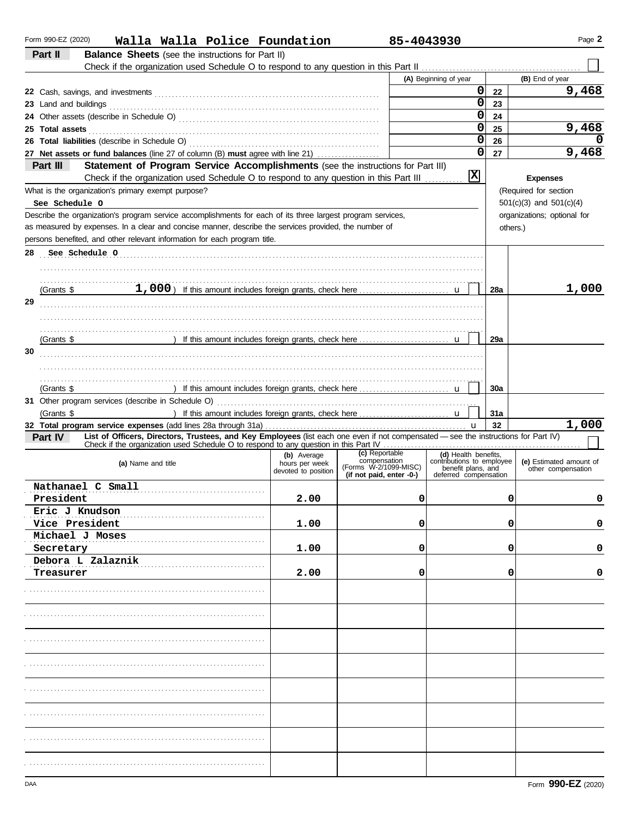| Form 990-EZ (2020)<br>Walla Walla Police Foundation                                                                                            |                               |                                                   | 85-4043930                                        |                    | Page 2                      |
|------------------------------------------------------------------------------------------------------------------------------------------------|-------------------------------|---------------------------------------------------|---------------------------------------------------|--------------------|-----------------------------|
| Part II<br><b>Balance Sheets</b> (see the instructions for Part II)                                                                            |                               |                                                   |                                                   |                    |                             |
|                                                                                                                                                |                               |                                                   |                                                   |                    |                             |
|                                                                                                                                                |                               |                                                   | (A) Beginning of year                             |                    | (B) End of year             |
|                                                                                                                                                |                               |                                                   |                                                   | $\mathbf{0}$<br>22 | 9,468                       |
|                                                                                                                                                |                               |                                                   |                                                   | 0<br>23            |                             |
|                                                                                                                                                |                               |                                                   |                                                   | 0<br>24            |                             |
| 25 Total assets <b>25 Total</b> assets <b>25 Total assets</b>                                                                                  |                               |                                                   |                                                   | 0<br>25            | 9,468                       |
|                                                                                                                                                |                               |                                                   |                                                   | 0<br>26            | O                           |
| 27 Net assets or fund balances (line 27 of column (B) must agree with line 21)                                                                 |                               |                                                   |                                                   | $\mathbf 0$<br>27  | 9,468                       |
| Statement of Program Service Accomplishments (see the instructions for Part III)<br>Part III                                                   |                               |                                                   |                                                   |                    |                             |
| Check if the organization used Schedule O to respond to any question in this Part III                                                          |                               |                                                   | $ \mathbf{x} $                                    |                    | <b>Expenses</b>             |
| What is the organization's primary exempt purpose?                                                                                             |                               |                                                   |                                                   |                    | (Required for section       |
| See Schedule O                                                                                                                                 |                               |                                                   |                                                   |                    | $501(c)(3)$ and $501(c)(4)$ |
| Describe the organization's program service accomplishments for each of its three largest program services,                                    |                               |                                                   |                                                   |                    | organizations; optional for |
| as measured by expenses. In a clear and concise manner, describe the services provided, the number of                                          |                               |                                                   |                                                   | others.)           |                             |
| persons benefited, and other relevant information for each program title.                                                                      |                               |                                                   |                                                   |                    |                             |
| See Schedule O<br>28                                                                                                                           |                               |                                                   |                                                   |                    |                             |
|                                                                                                                                                |                               |                                                   |                                                   |                    |                             |
|                                                                                                                                                |                               |                                                   |                                                   |                    |                             |
| (Grants \$                                                                                                                                     |                               |                                                   |                                                   | 28a                | 1,000                       |
| 29                                                                                                                                             |                               |                                                   |                                                   |                    |                             |
|                                                                                                                                                |                               |                                                   |                                                   |                    |                             |
|                                                                                                                                                |                               |                                                   |                                                   |                    |                             |
| (Grants \$                                                                                                                                     |                               |                                                   |                                                   | 29a                |                             |
| 30                                                                                                                                             |                               |                                                   |                                                   |                    |                             |
|                                                                                                                                                |                               |                                                   |                                                   |                    |                             |
|                                                                                                                                                |                               |                                                   |                                                   | 30a                |                             |
| (Grants \$                                                                                                                                     |                               |                                                   |                                                   |                    |                             |
| (Grants \$                                                                                                                                     |                               |                                                   |                                                   | 31a                |                             |
|                                                                                                                                                |                               |                                                   |                                                   | 32                 | 1,000                       |
| List of Officers, Directors, Trustees, and Key Employees (list each one even if not compensated - see the instructions for Part IV)<br>Part IV |                               |                                                   |                                                   |                    |                             |
|                                                                                                                                                |                               |                                                   |                                                   |                    |                             |
| (a) Name and title                                                                                                                             | (b) Average<br>hours per week | (c) Reportable<br>compensation                    | (d) Health benefits,<br>contributions to employee |                    | (e) Estimated amount of     |
|                                                                                                                                                | devoted to position           | (Forms W-2/1099-MISC)<br>(if not paid, enter -0-) | benefit plans, and<br>deferred compensation       |                    | other compensation          |
| Nathanael C Small                                                                                                                              |                               |                                                   |                                                   |                    |                             |
| President                                                                                                                                      | 2.00                          |                                                   | 0                                                 | 0                  | O                           |
| Eric J Knudson                                                                                                                                 |                               |                                                   |                                                   |                    |                             |
| Vice President                                                                                                                                 | 1.00                          |                                                   | 0                                                 | 0                  | 0                           |
| Michael J Moses                                                                                                                                |                               |                                                   |                                                   |                    |                             |
| Secretary                                                                                                                                      | 1.00                          |                                                   | 0                                                 | 0                  | 0                           |
| Debora L Zalaznik                                                                                                                              |                               |                                                   |                                                   |                    |                             |
| Treasurer                                                                                                                                      | 2.00                          |                                                   | 0                                                 | 0                  | 0                           |
|                                                                                                                                                |                               |                                                   |                                                   |                    |                             |
|                                                                                                                                                |                               |                                                   |                                                   |                    |                             |
|                                                                                                                                                |                               |                                                   |                                                   |                    |                             |
|                                                                                                                                                |                               |                                                   |                                                   |                    |                             |
|                                                                                                                                                |                               |                                                   |                                                   |                    |                             |
|                                                                                                                                                |                               |                                                   |                                                   |                    |                             |
|                                                                                                                                                |                               |                                                   |                                                   |                    |                             |
|                                                                                                                                                |                               |                                                   |                                                   |                    |                             |
|                                                                                                                                                |                               |                                                   |                                                   |                    |                             |
|                                                                                                                                                |                               |                                                   |                                                   |                    |                             |
|                                                                                                                                                |                               |                                                   |                                                   |                    |                             |
|                                                                                                                                                |                               |                                                   |                                                   |                    |                             |
|                                                                                                                                                |                               |                                                   |                                                   |                    |                             |
|                                                                                                                                                |                               |                                                   |                                                   |                    |                             |
|                                                                                                                                                |                               |                                                   |                                                   |                    |                             |
|                                                                                                                                                |                               |                                                   |                                                   |                    |                             |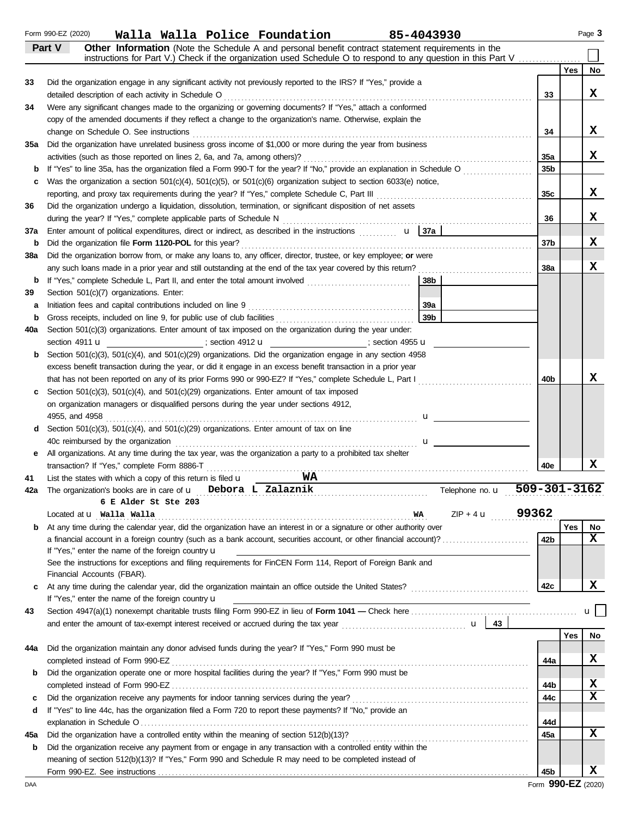|             | Form 990-EZ (2020)<br>Walla Walla Police Foundation<br>85-4043930                                                                                                                                                             |                    |            | Page 3 |
|-------------|-------------------------------------------------------------------------------------------------------------------------------------------------------------------------------------------------------------------------------|--------------------|------------|--------|
|             | Other Information (Note the Schedule A and personal benefit contract statement requirements in the<br>Part V<br>instructions for Part V.) Check if the organization used Schedule O to respond to any question in this Part V |                    |            |        |
|             |                                                                                                                                                                                                                               |                    | <b>Yes</b> | No     |
| 33          | Did the organization engage in any significant activity not previously reported to the IRS? If "Yes," provide a                                                                                                               |                    |            |        |
|             | detailed description of each activity in Schedule O                                                                                                                                                                           | 33                 |            | x      |
| 34          | Were any significant changes made to the organizing or governing documents? If "Yes," attach a conformed                                                                                                                      |                    |            |        |
|             | copy of the amended documents if they reflect a change to the organization's name. Otherwise, explain the                                                                                                                     |                    |            |        |
|             | change on Schedule O. See instructions                                                                                                                                                                                        | 34                 |            | X.     |
| 35a         | Did the organization have unrelated business gross income of \$1,000 or more during the year from business                                                                                                                    |                    |            |        |
|             |                                                                                                                                                                                                                               | 35a                |            | X.     |
| b           |                                                                                                                                                                                                                               | 35 <sub>b</sub>    |            |        |
| C           | Was the organization a section $501(c)(4)$ , $501(c)(5)$ , or $501(c)(6)$ organization subject to section 6033(e) notice,                                                                                                     |                    |            |        |
|             |                                                                                                                                                                                                                               | 35c                |            | X.     |
| 36          | Did the organization undergo a liquidation, dissolution, termination, or significant disposition of net assets                                                                                                                |                    |            |        |
|             |                                                                                                                                                                                                                               | 36                 |            | x      |
| 37a         | Enter amount of political expenditures, direct or indirect, as described in the instructions $\mathbf{u}$   37a                                                                                                               |                    |            |        |
| $\mathbf b$ | Did the organization file Form 1120-POL for this year?                                                                                                                                                                        | 37 <sub>b</sub>    |            | x      |
| 38a         | Did the organization borrow from, or make any loans to, any officer, director, trustee, or key employee; or were                                                                                                              |                    |            |        |
|             |                                                                                                                                                                                                                               | 38a                |            | x      |
| b           | 38b                                                                                                                                                                                                                           |                    |            |        |
| 39          | Section 501(c)(7) organizations. Enter:                                                                                                                                                                                       |                    |            |        |
| a           | 39a<br>Initiation fees and capital contributions included on line 9                                                                                                                                                           |                    |            |        |
| $\mathbf b$ | 39 <sub>b</sub>                                                                                                                                                                                                               |                    |            |        |
| 40a         | Section 501(c)(3) organizations. Enter amount of tax imposed on the organization during the year under:                                                                                                                       |                    |            |        |
|             | section 4911 <b>u</b><br>$\qquad \qquad$ ; section 4912 <b>u</b><br>$\qquad \qquad$ ; section 4955 <b>u</b>                                                                                                                   |                    |            |        |
| b           | Section 501(c)(3), 501(c)(4), and 501(c)(29) organizations. Did the organization engage in any section 4958                                                                                                                   |                    |            |        |
|             | excess benefit transaction during the year, or did it engage in an excess benefit transaction in a prior year                                                                                                                 |                    |            |        |
|             | that has not been reported on any of its prior Forms 990 or 990-EZ? If "Yes," complete Schedule L, Part I                                                                                                                     | 40 <sub>b</sub>    |            | х      |
| c           | Section $501(c)(3)$ , $501(c)(4)$ , and $501(c)(29)$ organizations. Enter amount of tax imposed                                                                                                                               |                    |            |        |
|             | on organization managers or disqualified persons during the year under sections 4912,                                                                                                                                         |                    |            |        |
|             |                                                                                                                                                                                                                               |                    |            |        |
| d           | Section $501(c)(3)$ , $501(c)(4)$ , and $501(c)(29)$ organizations. Enter amount of tax on line                                                                                                                               |                    |            |        |
|             | 40c reimbursed by the organization                                                                                                                                                                                            |                    |            |        |
| е           | All organizations. At any time during the tax year, was the organization a party to a prohibited tax shelter                                                                                                                  |                    |            |        |
|             | transaction? If "Yes," complete Form 8886-T                                                                                                                                                                                   | 40e                |            | x      |
| 41          | WA.<br>List the states with which a copy of this return is filed $\mathbf u$                                                                                                                                                  |                    |            |        |
| 42a         | The organization's books are in care of $\mathbf u$ Debora L Zalaznik<br>Telephone no. <b>u</b>                                                                                                                               | $509 - 301 - 3162$ |            |        |
|             | 6 E Alder St Ste 203                                                                                                                                                                                                          |                    |            |        |
|             | $ZIP + 4$ u<br>Located at <b>u</b> Walla Walla<br>WA                                                                                                                                                                          | 99362              |            |        |

|     | Located at <b>u</b> t wa Liat wa Liat<br>WА<br>$\mathcal{L} \mathbf{P}$ + 4 $\mathbf{U}$                              | 9930Z |     |           |
|-----|-----------------------------------------------------------------------------------------------------------------------|-------|-----|-----------|
| b   | At any time during the calendar year, did the organization have an interest in or a signature or other authority over |       | Yes | <b>No</b> |
|     | a financial account in a foreign country (such as a bank account, securities account, or other financial account)?    | 42b   |     | x         |
|     | If "Yes," enter the name of the foreign country $\mathbf u$                                                           |       |     |           |
|     | See the instructions for exceptions and filing requirements for FinCEN Form 114, Report of Foreign Bank and           |       |     |           |
|     | Financial Accounts (FBAR).                                                                                            |       |     |           |
| C.  | At any time during the calendar year, did the organization maintain an office outside the United States?              | 42c   |     |           |
|     | If "Yes," enter the name of the foreign country $\mathbf u$                                                           |       |     |           |
| 43  | Section 4947(a)(1) nonexempt charitable trusts filing Form 990-EZ in lieu of Form 1041 – Check here                   |       |     |           |
|     | and enter the amount of tax-exempt interest received or accrued during the tax year<br>43<br>$\mathbf{u}$             |       |     |           |
|     |                                                                                                                       |       | Yes | No        |
| 44a | Did the organization maintain any donor advised funds during the year? If "Yes," Form 990 must be                     |       |     |           |
|     | completed instead of Form 990-EZ                                                                                      | 44a   |     |           |
|     |                                                                                                                       |       |     |           |

|     | COMPLETED INSTEAD OF FORM SSO-EZ                                                                               | 44a | . . |
|-----|----------------------------------------------------------------------------------------------------------------|-----|-----|
| b   | Did the organization operate one or more hospital facilities during the year? If "Yes," Form 990 must be       |     |     |
|     |                                                                                                                | 44b |     |
| C   | Did the organization receive any payments for indoor tanning services during the year?                         | 44c |     |
|     | d If "Yes" to line 44c, has the organization filed a Form 720 to report these payments? If "No," provide an    |     |     |
|     |                                                                                                                | 44d |     |
| 45а | Did the organization have a controlled entity within the meaning of section 512(b)(13)?                        | 45a |     |
| b   | Did the organization receive any payment from or engage in any transaction with a controlled entity within the |     |     |
|     | meaning of section 512(b)(13)? If "Yes," Form 990 and Schedule R may need to be completed instead of           |     |     |
|     | Form 990-EZ. See instructions                                                                                  | 45b |     |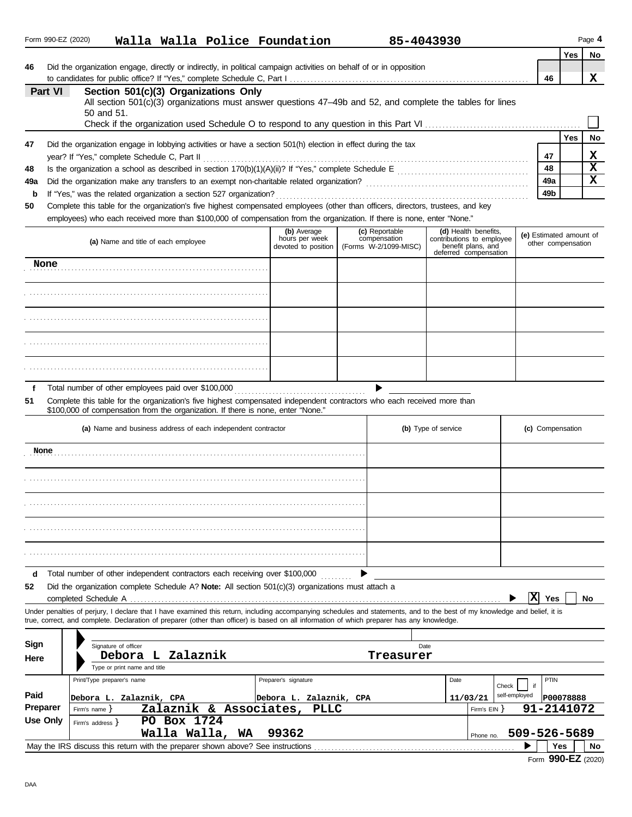|           | Form 990-EZ (2020) | Walla Walla Police Foundation                                                                                                                                                                                                                                                                                            |                                                      |                                                         | 85-4043930                                                                                       |                                               |            | Page 4         |
|-----------|--------------------|--------------------------------------------------------------------------------------------------------------------------------------------------------------------------------------------------------------------------------------------------------------------------------------------------------------------------|------------------------------------------------------|---------------------------------------------------------|--------------------------------------------------------------------------------------------------|-----------------------------------------------|------------|----------------|
| 46        |                    | Did the organization engage, directly or indirectly, in political campaign activities on behalf of or in opposition                                                                                                                                                                                                      |                                                      |                                                         |                                                                                                  | 46                                            | <b>Yes</b> | <b>No</b><br>x |
|           | Part VI            | Section 501(c)(3) Organizations Only<br>All section 501(c)(3) organizations must answer questions 47-49b and 52, and complete the tables for lines<br>50 and 51.                                                                                                                                                         |                                                      |                                                         |                                                                                                  |                                               |            |                |
| 47        |                    | Did the organization engage in lobbying activities or have a section 501(h) election in effect during the tax                                                                                                                                                                                                            |                                                      |                                                         |                                                                                                  |                                               | <b>Yes</b> | No             |
|           |                    | year? If "Yes," complete Schedule C, Part II                                                                                                                                                                                                                                                                             |                                                      |                                                         |                                                                                                  | 47                                            |            | x              |
| 48<br>49a |                    |                                                                                                                                                                                                                                                                                                                          |                                                      |                                                         |                                                                                                  | 48<br>49a                                     |            | X<br>X         |
| b         |                    | If "Yes," was the related organization a section 527 organization?                                                                                                                                                                                                                                                       |                                                      |                                                         |                                                                                                  | 49b                                           |            |                |
| 50        |                    | Complete this table for the organization's five highest compensated employees (other than officers, directors, trustees, and key                                                                                                                                                                                         |                                                      |                                                         |                                                                                                  |                                               |            |                |
|           |                    | employees) who each received more than \$100,000 of compensation from the organization. If there is none, enter "None."                                                                                                                                                                                                  |                                                      |                                                         |                                                                                                  |                                               |            |                |
|           |                    | (a) Name and title of each employee                                                                                                                                                                                                                                                                                      | (b) Average<br>hours per week<br>devoted to position | (c) Reportable<br>compensation<br>(Forms W-2/1099-MISC) | (d) Health benefits,<br>contributions to employee<br>benefit plans, and<br>deferred compensation | (e) Estimated amount of<br>other compensation |            |                |
|           | None               |                                                                                                                                                                                                                                                                                                                          |                                                      |                                                         |                                                                                                  |                                               |            |                |
|           |                    |                                                                                                                                                                                                                                                                                                                          |                                                      |                                                         |                                                                                                  |                                               |            |                |
|           |                    |                                                                                                                                                                                                                                                                                                                          |                                                      |                                                         |                                                                                                  |                                               |            |                |
|           |                    |                                                                                                                                                                                                                                                                                                                          |                                                      |                                                         |                                                                                                  |                                               |            |                |
|           |                    |                                                                                                                                                                                                                                                                                                                          |                                                      |                                                         |                                                                                                  |                                               |            |                |
| f<br>51   |                    | Total number of other employees paid over \$100,000<br>Complete this table for the organization's five highest compensated independent contractors who each received more than<br>\$100,000 of compensation from the organization. If there is none, enter "None."                                                       |                                                      |                                                         |                                                                                                  |                                               |            |                |
|           |                    | (a) Name and business address of each independent contractor                                                                                                                                                                                                                                                             |                                                      |                                                         | (b) Type of service                                                                              | (c) Compensation                              |            |                |
|           | None               |                                                                                                                                                                                                                                                                                                                          |                                                      |                                                         |                                                                                                  |                                               |            |                |
|           |                    |                                                                                                                                                                                                                                                                                                                          |                                                      |                                                         |                                                                                                  |                                               |            |                |
|           |                    |                                                                                                                                                                                                                                                                                                                          |                                                      |                                                         |                                                                                                  |                                               |            |                |
|           |                    |                                                                                                                                                                                                                                                                                                                          |                                                      |                                                         |                                                                                                  |                                               |            |                |
|           |                    |                                                                                                                                                                                                                                                                                                                          |                                                      |                                                         |                                                                                                  |                                               |            |                |
| d<br>52   |                    | Total number of other independent contractors each receiving over \$100,000<br>Did the organization complete Schedule A? <b>Note:</b> All section $501(c)(3)$ organizations must attach a                                                                                                                                |                                                      |                                                         |                                                                                                  |                                               |            |                |
|           |                    | completed Schedule A                                                                                                                                                                                                                                                                                                     |                                                      |                                                         |                                                                                                  | ΙX<br>Yes                                     |            | No             |
|           |                    | Under penalties of periury, I declare that I have examined this return, including accompanying schedules and statements, and to the best of my knowledge and belief, it is<br>true, correct, and complete. Declaration of preparer (other than officer) is based on all information of which preparer has any knowledge. |                                                      |                                                         |                                                                                                  |                                               |            |                |
| Sign      |                    |                                                                                                                                                                                                                                                                                                                          |                                                      |                                                         |                                                                                                  |                                               |            |                |
| Here      |                    | Signature of officer<br>Zalaznik<br>Debora<br>L                                                                                                                                                                                                                                                                          |                                                      | Treasurer                                               | Date                                                                                             |                                               |            |                |
|           |                    | Type or print name and title                                                                                                                                                                                                                                                                                             |                                                      |                                                         |                                                                                                  |                                               |            |                |
|           |                    | Print/Type preparer's name                                                                                                                                                                                                                                                                                               | Preparer's signature                                 |                                                         | Date<br>Check                                                                                    | PTIN                                          |            |                |
| Paid      | Preparer           | Debora L. Zalaznik, CPA<br>Zalaznik & Associates,<br>Firm's name $\}$                                                                                                                                                                                                                                                    | Debora L. Zalaznik, CPA<br>PLLC                      |                                                         | self-employed<br>11/03/21<br>Firm's EIN }                                                        | 91-2141072                                    | P00078888  |                |
|           | <b>Use Only</b>    | PO Box 1724<br>Firm's address }<br>Walla Walla, WA                                                                                                                                                                                                                                                                       | 99362                                                |                                                         | Phone no.                                                                                        | 509-526-5689                                  |            |                |
|           |                    | May the IRS discuss this return with the preparer shown above? See instructions                                                                                                                                                                                                                                          |                                                      |                                                         |                                                                                                  |                                               | Yes        | No             |

Form **990-EZ** (2020)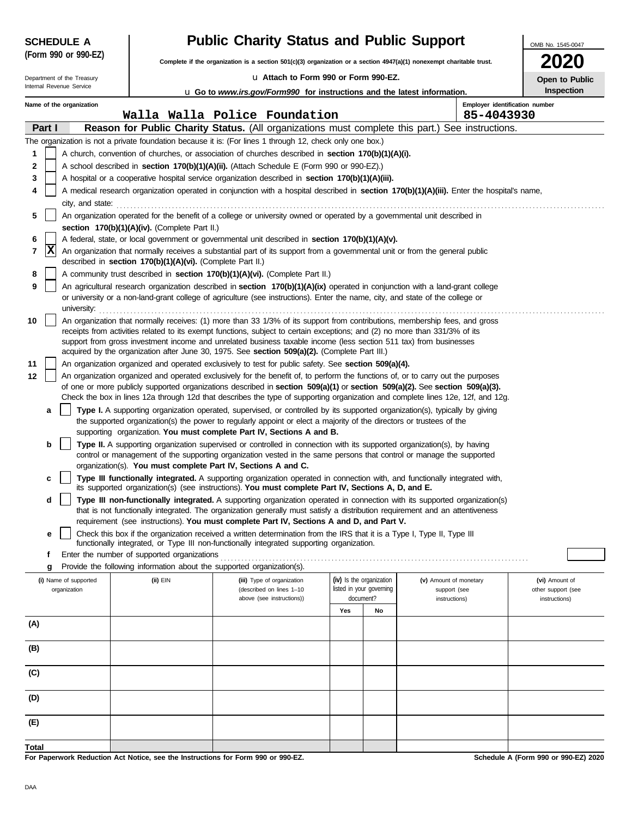|       | <b>SCHEDULE A</b>                                                                                                         |                                                                                 | <b>Public Charity Status and Public Support</b>                                                                                                                                                                                                     |                                                      |    |                                        |                                              | OMB No. 1545-0047                    |  |  |  |  |
|-------|---------------------------------------------------------------------------------------------------------------------------|---------------------------------------------------------------------------------|-----------------------------------------------------------------------------------------------------------------------------------------------------------------------------------------------------------------------------------------------------|------------------------------------------------------|----|----------------------------------------|----------------------------------------------|--------------------------------------|--|--|--|--|
|       | (Form 990 or 990-EZ)                                                                                                      |                                                                                 | Complete if the organization is a section $501(c)(3)$ organization or a section $4947(a)(1)$ nonexempt charitable trust.                                                                                                                            |                                                      |    |                                        |                                              |                                      |  |  |  |  |
|       | Department of the Treasury                                                                                                |                                                                                 | La Attach to Form 990 or Form 990-EZ.                                                                                                                                                                                                               |                                                      |    |                                        |                                              | Open to Public                       |  |  |  |  |
|       | Internal Revenue Service                                                                                                  |                                                                                 | <b>u</b> Go to <i>www.irs.gov/Form990</i> for instructions and the latest information.                                                                                                                                                              |                                                      |    |                                        |                                              | Inspection                           |  |  |  |  |
|       | Name of the organization                                                                                                  |                                                                                 | Walla Walla Police Foundation                                                                                                                                                                                                                       |                                                      |    |                                        | Employer identification number<br>85-4043930 |                                      |  |  |  |  |
|       | Part I                                                                                                                    |                                                                                 | Reason for Public Charity Status. (All organizations must complete this part.) See instructions.                                                                                                                                                    |                                                      |    |                                        |                                              |                                      |  |  |  |  |
|       |                                                                                                                           |                                                                                 | The organization is not a private foundation because it is: (For lines 1 through 12, check only one box.)                                                                                                                                           |                                                      |    |                                        |                                              |                                      |  |  |  |  |
| 1     |                                                                                                                           |                                                                                 | A church, convention of churches, or association of churches described in section 170(b)(1)(A)(i).                                                                                                                                                  |                                                      |    |                                        |                                              |                                      |  |  |  |  |
| 2     |                                                                                                                           |                                                                                 | A school described in section 170(b)(1)(A)(ii). (Attach Schedule E (Form 990 or 990-EZ).)                                                                                                                                                           |                                                      |    |                                        |                                              |                                      |  |  |  |  |
| 3     |                                                                                                                           |                                                                                 | A hospital or a cooperative hospital service organization described in section 170(b)(1)(A)(iii).                                                                                                                                                   |                                                      |    |                                        |                                              |                                      |  |  |  |  |
| 4     |                                                                                                                           |                                                                                 | A medical research organization operated in conjunction with a hospital described in section 170(b)(1)(A)(iii). Enter the hospital's name,                                                                                                          |                                                      |    |                                        |                                              |                                      |  |  |  |  |
|       | city, and state:                                                                                                          |                                                                                 |                                                                                                                                                                                                                                                     |                                                      |    |                                        |                                              |                                      |  |  |  |  |
| 5     | An organization operated for the benefit of a college or university owned or operated by a governmental unit described in |                                                                                 |                                                                                                                                                                                                                                                     |                                                      |    |                                        |                                              |                                      |  |  |  |  |
| 6     |                                                                                                                           | section 170(b)(1)(A)(iv). (Complete Part II.)                                   | A federal, state, or local government or governmental unit described in section 170(b)(1)(A)(v).                                                                                                                                                    |                                                      |    |                                        |                                              |                                      |  |  |  |  |
| 7     | X                                                                                                                         |                                                                                 | An organization that normally receives a substantial part of its support from a governmental unit or from the general public                                                                                                                        |                                                      |    |                                        |                                              |                                      |  |  |  |  |
|       |                                                                                                                           | described in section 170(b)(1)(A)(vi). (Complete Part II.)                      |                                                                                                                                                                                                                                                     |                                                      |    |                                        |                                              |                                      |  |  |  |  |
| 8     |                                                                                                                           |                                                                                 | A community trust described in section 170(b)(1)(A)(vi). (Complete Part II.)                                                                                                                                                                        |                                                      |    |                                        |                                              |                                      |  |  |  |  |
| 9     |                                                                                                                           |                                                                                 | An agricultural research organization described in section 170(b)(1)(A)(ix) operated in conjunction with a land-grant college                                                                                                                       |                                                      |    |                                        |                                              |                                      |  |  |  |  |
|       | university:                                                                                                               |                                                                                 | or university or a non-land-grant college of agriculture (see instructions). Enter the name, city, and state of the college or                                                                                                                      |                                                      |    |                                        |                                              |                                      |  |  |  |  |
| 10    |                                                                                                                           |                                                                                 | An organization that normally receives: (1) more than 33 1/3% of its support from contributions, membership fees, and gross                                                                                                                         |                                                      |    |                                        |                                              |                                      |  |  |  |  |
|       |                                                                                                                           |                                                                                 | receipts from activities related to its exempt functions, subject to certain exceptions; and (2) no more than 331/3% of its                                                                                                                         |                                                      |    |                                        |                                              |                                      |  |  |  |  |
|       |                                                                                                                           |                                                                                 | support from gross investment income and unrelated business taxable income (less section 511 tax) from businesses<br>acquired by the organization after June 30, 1975. See section 509(a)(2). (Complete Part III.)                                  |                                                      |    |                                        |                                              |                                      |  |  |  |  |
| 11    |                                                                                                                           |                                                                                 | An organization organized and operated exclusively to test for public safety. See section 509(a)(4).                                                                                                                                                |                                                      |    |                                        |                                              |                                      |  |  |  |  |
| 12    |                                                                                                                           |                                                                                 | An organization organized and operated exclusively for the benefit of, to perform the functions of, or to carry out the purposes                                                                                                                    |                                                      |    |                                        |                                              |                                      |  |  |  |  |
|       |                                                                                                                           |                                                                                 | of one or more publicly supported organizations described in section 509(a)(1) or section 509(a)(2). See section 509(a)(3).                                                                                                                         |                                                      |    |                                        |                                              |                                      |  |  |  |  |
|       |                                                                                                                           |                                                                                 | Check the box in lines 12a through 12d that describes the type of supporting organization and complete lines 12e, 12f, and 12g.                                                                                                                     |                                                      |    |                                        |                                              |                                      |  |  |  |  |
|       | a                                                                                                                         |                                                                                 | Type I. A supporting organization operated, supervised, or controlled by its supported organization(s), typically by giving<br>the supported organization(s) the power to regularly appoint or elect a majority of the directors or trustees of the |                                                      |    |                                        |                                              |                                      |  |  |  |  |
|       |                                                                                                                           |                                                                                 | supporting organization. You must complete Part IV, Sections A and B.                                                                                                                                                                               |                                                      |    |                                        |                                              |                                      |  |  |  |  |
|       | b                                                                                                                         |                                                                                 | Type II. A supporting organization supervised or controlled in connection with its supported organization(s), by having                                                                                                                             |                                                      |    |                                        |                                              |                                      |  |  |  |  |
|       |                                                                                                                           |                                                                                 | control or management of the supporting organization vested in the same persons that control or manage the supported<br>organization(s). You must complete Part IV, Sections A and C.                                                               |                                                      |    |                                        |                                              |                                      |  |  |  |  |
|       | c                                                                                                                         |                                                                                 | Type III functionally integrated. A supporting organization operated in connection with, and functionally integrated with,                                                                                                                          |                                                      |    |                                        |                                              |                                      |  |  |  |  |
|       |                                                                                                                           |                                                                                 | its supported organization(s) (see instructions). You must complete Part IV, Sections A, D, and E.                                                                                                                                                  |                                                      |    |                                        |                                              |                                      |  |  |  |  |
|       | d                                                                                                                         |                                                                                 | Type III non-functionally integrated. A supporting organization operated in connection with its supported organization(s)                                                                                                                           |                                                      |    |                                        |                                              |                                      |  |  |  |  |
|       |                                                                                                                           |                                                                                 | that is not functionally integrated. The organization generally must satisfy a distribution requirement and an attentiveness<br>requirement (see instructions). You must complete Part IV, Sections A and D, and Part V.                            |                                                      |    |                                        |                                              |                                      |  |  |  |  |
|       | е                                                                                                                         |                                                                                 | Check this box if the organization received a written determination from the IRS that it is a Type I, Type II, Type III                                                                                                                             |                                                      |    |                                        |                                              |                                      |  |  |  |  |
|       |                                                                                                                           |                                                                                 | functionally integrated, or Type III non-functionally integrated supporting organization.                                                                                                                                                           |                                                      |    |                                        |                                              |                                      |  |  |  |  |
|       | f                                                                                                                         | Enter the number of supported organizations                                     |                                                                                                                                                                                                                                                     |                                                      |    |                                        |                                              |                                      |  |  |  |  |
|       | g                                                                                                                         | Provide the following information about the supported organization(s).          |                                                                                                                                                                                                                                                     |                                                      |    |                                        |                                              |                                      |  |  |  |  |
|       | (i) Name of supported<br>organization                                                                                     | (ii) EIN                                                                        | (iii) Type of organization<br>(described on lines 1-10                                                                                                                                                                                              | (iv) Is the organization<br>listed in your governing |    | (v) Amount of monetary<br>support (see |                                              | (vi) Amount of<br>other support (see |  |  |  |  |
|       |                                                                                                                           |                                                                                 | above (see instructions))                                                                                                                                                                                                                           | document?                                            |    | instructions)                          |                                              | instructions)                        |  |  |  |  |
|       |                                                                                                                           |                                                                                 |                                                                                                                                                                                                                                                     | Yes                                                  | No |                                        |                                              |                                      |  |  |  |  |
| (A)   |                                                                                                                           |                                                                                 |                                                                                                                                                                                                                                                     |                                                      |    |                                        |                                              |                                      |  |  |  |  |
| (B)   |                                                                                                                           |                                                                                 |                                                                                                                                                                                                                                                     |                                                      |    |                                        |                                              |                                      |  |  |  |  |
|       |                                                                                                                           |                                                                                 |                                                                                                                                                                                                                                                     |                                                      |    |                                        |                                              |                                      |  |  |  |  |
| (C)   |                                                                                                                           |                                                                                 |                                                                                                                                                                                                                                                     |                                                      |    |                                        |                                              |                                      |  |  |  |  |
|       |                                                                                                                           |                                                                                 |                                                                                                                                                                                                                                                     |                                                      |    |                                        |                                              |                                      |  |  |  |  |
| (D)   |                                                                                                                           |                                                                                 |                                                                                                                                                                                                                                                     |                                                      |    |                                        |                                              |                                      |  |  |  |  |
|       |                                                                                                                           |                                                                                 |                                                                                                                                                                                                                                                     |                                                      |    |                                        |                                              |                                      |  |  |  |  |
| (E)   |                                                                                                                           |                                                                                 |                                                                                                                                                                                                                                                     |                                                      |    |                                        |                                              |                                      |  |  |  |  |
| Total |                                                                                                                           |                                                                                 |                                                                                                                                                                                                                                                     |                                                      |    |                                        |                                              |                                      |  |  |  |  |
|       |                                                                                                                           | For Paperwork Reduction Act Notice, see the Instructions for Form 990 or 990-EZ |                                                                                                                                                                                                                                                     |                                                      |    |                                        |                                              | Schedule A (Form 990 or 990-EZ) 2020 |  |  |  |  |

**For Paperwork Reduction Act Notice, see the Instructions for Form 990 or 990-EZ.**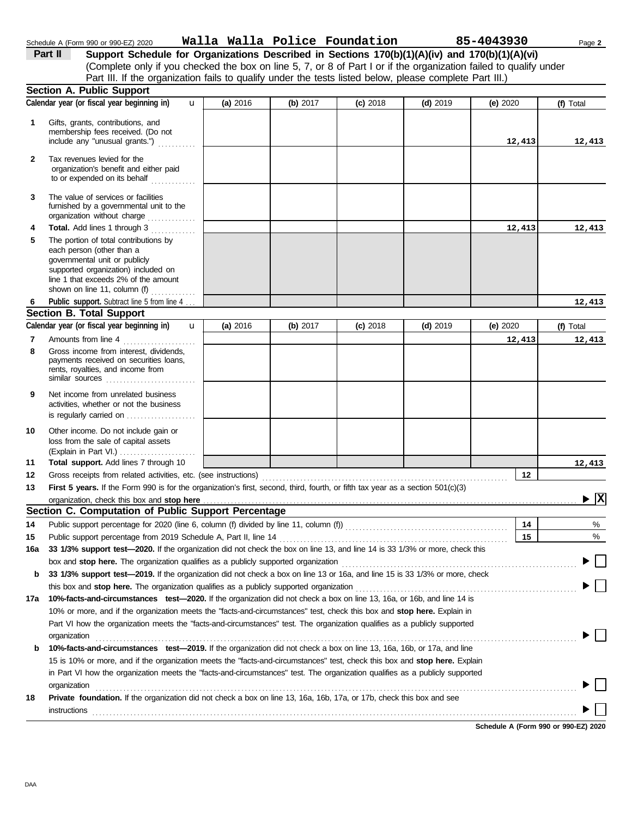|                | Schedule A (Form 990 or 990-EZ) 2020                                                                                                                                                                                                                                                                                                      |                          |          | Walla Walla Police Foundation 85-4043930 |            |          | Page 2    |
|----------------|-------------------------------------------------------------------------------------------------------------------------------------------------------------------------------------------------------------------------------------------------------------------------------------------------------------------------------------------|--------------------------|----------|------------------------------------------|------------|----------|-----------|
|                | Support Schedule for Organizations Described in Sections 170(b)(1)(A)(iv) and 170(b)(1)(A)(vi)<br>Part II<br>(Complete only if you checked the box on line 5, 7, or 8 of Part I or if the organization failed to qualify under<br>Part III. If the organization fails to qualify under the tests listed below, please complete Part III.) |                          |          |                                          |            |          |           |
|                | Section A. Public Support                                                                                                                                                                                                                                                                                                                 |                          |          |                                          |            |          |           |
|                | Calendar year (or fiscal year beginning in)                                                                                                                                                                                                                                                                                               | $\mathbf{u}$<br>(a) 2016 | (b) 2017 | $(c)$ 2018                               | $(d)$ 2019 | (e) 2020 | (f) Total |
| 1              | Gifts, grants, contributions, and<br>membership fees received. (Do not<br>include any "unusual grants.")                                                                                                                                                                                                                                  |                          |          |                                          |            | 12,413   | 12,413    |
| $\mathbf{2}$   | Tax revenues levied for the<br>organization's benefit and either paid<br>to or expended on its behalf                                                                                                                                                                                                                                     |                          |          |                                          |            |          |           |
| 3              | The value of services or facilities<br>furnished by a governmental unit to the<br>organization without charge                                                                                                                                                                                                                             |                          |          |                                          |            |          |           |
| 4              | Total. Add lines 1 through 3                                                                                                                                                                                                                                                                                                              |                          |          |                                          |            | 12,413   | 12,413    |
| 5              | The portion of total contributions by<br>each person (other than a<br>governmental unit or publicly<br>supported organization) included on<br>line 1 that exceeds 2% of the amount<br>shown on line 11, column (f) $\ldots$                                                                                                               |                          |          |                                          |            |          |           |
| 6              | Public support. Subtract line 5 from line 4                                                                                                                                                                                                                                                                                               |                          |          |                                          |            |          | 12,413    |
|                | <b>Section B. Total Support</b>                                                                                                                                                                                                                                                                                                           |                          |          |                                          |            |          |           |
|                | Calendar year (or fiscal year beginning in)                                                                                                                                                                                                                                                                                               | $\mathbf{u}$<br>(a) 2016 | (b) 2017 | $(c)$ 2018                               | $(d)$ 2019 | (e) 2020 | (f) Total |
| $\overline{7}$ | Amounts from line 4                                                                                                                                                                                                                                                                                                                       |                          |          |                                          |            | 12,413   | 12,41     |
| 8              | Gross income from interest, dividends,<br>payments received on securities loans,<br>rents, royalties, and income from<br>similar sources                                                                                                                                                                                                  |                          |          |                                          |            |          |           |
| 9              | Net income from unrelated business<br>activities, whether or not the business<br>is regularly carried on                                                                                                                                                                                                                                  |                          |          |                                          |            |          |           |
| 10             | Other income. Do not include gain or<br>loss from the sale of capital assets<br>(Explain in Part VI.)                                                                                                                                                                                                                                     |                          |          |                                          |            |          |           |
| 11             | Total support. Add lines 7 through 10                                                                                                                                                                                                                                                                                                     |                          |          |                                          |            |          | 12,413    |
| 12             | Gross receipts from related activities, etc. (see instructions)                                                                                                                                                                                                                                                                           |                          |          |                                          |            | 12       |           |

|     | activities, whether or not the business<br>is regularly carried on                                                                                                                                                                                                                      |    |        |  |  |  |  |  |  |  |
|-----|-----------------------------------------------------------------------------------------------------------------------------------------------------------------------------------------------------------------------------------------------------------------------------------------|----|--------|--|--|--|--|--|--|--|
| 10  | Other income. Do not include gain or<br>loss from the sale of capital assets<br>(Explain in Part VI.) $\ldots$ , $\ldots$ , $\ldots$ , $\ldots$                                                                                                                                         |    |        |  |  |  |  |  |  |  |
| 11  | Total support. Add lines 7 through 10                                                                                                                                                                                                                                                   |    | 12,413 |  |  |  |  |  |  |  |
| 12  |                                                                                                                                                                                                                                                                                         | 12 |        |  |  |  |  |  |  |  |
| 13  | First 5 years. If the Form 990 is for the organization's first, second, third, fourth, or fifth tax year as a section 501(c)(3)<br>$\triangleright$ $\overline{X}$                                                                                                                      |    |        |  |  |  |  |  |  |  |
| 14  | Section C. Computation of Public Support Percentage<br>Public support percentage for 2020 (line 6, column (f) divided by line 11, column (f)<br>[absorbs the column of the column (f) divided by line 11, column (f)<br>[absorption of the column of the column of the column of the co | 14 | $\%$   |  |  |  |  |  |  |  |
| 15  |                                                                                                                                                                                                                                                                                         | 15 | %      |  |  |  |  |  |  |  |
| 16a | 33 1/3% support test-2020. If the organization did not check the box on line 13, and line 14 is 33 1/3% or more, check this                                                                                                                                                             |    |        |  |  |  |  |  |  |  |
|     | box and stop here. The organization qualifies as a publicly supported organization                                                                                                                                                                                                      |    |        |  |  |  |  |  |  |  |
| b   | 33 1/3% support test-2019. If the organization did not check a box on line 13 or 16a, and line 15 is 33 1/3% or more, check                                                                                                                                                             |    |        |  |  |  |  |  |  |  |
|     | this box and <b>stop here.</b> The organization qualifies as a publicly supported organization                                                                                                                                                                                          |    |        |  |  |  |  |  |  |  |
| 17a | 10%-facts-and-circumstances test-2020. If the organization did not check a box on line 13, 16a, or 16b, and line 14 is                                                                                                                                                                  |    |        |  |  |  |  |  |  |  |
|     | 10% or more, and if the organization meets the "facts-and-circumstances" test, check this box and stop here. Explain in                                                                                                                                                                 |    |        |  |  |  |  |  |  |  |
|     | Part VI how the organization meets the "facts-and-circumstances" test. The organization qualifies as a publicly supported<br>organization                                                                                                                                               |    |        |  |  |  |  |  |  |  |
| b   | 10%-facts-and-circumstances test-2019. If the organization did not check a box on line 13, 16a, 16b, or 17a, and line                                                                                                                                                                   |    |        |  |  |  |  |  |  |  |
|     | 15 is 10% or more, and if the organization meets the "facts-and-circumstances" test, check this box and stop here. Explain                                                                                                                                                              |    |        |  |  |  |  |  |  |  |
|     | in Part VI how the organization meets the "facts-and-circumstances" test. The organization qualifies as a publicly supported<br>organization                                                                                                                                            |    |        |  |  |  |  |  |  |  |
| 18  | <b>Private foundation.</b> If the organization did not check a box on line 13, 16a, 16b, 17a, or 17b, check this box and see<br>instructions                                                                                                                                            |    |        |  |  |  |  |  |  |  |

**12,413 12,413**

**12,413 12,413**

**12,413 12,413**

**12,413**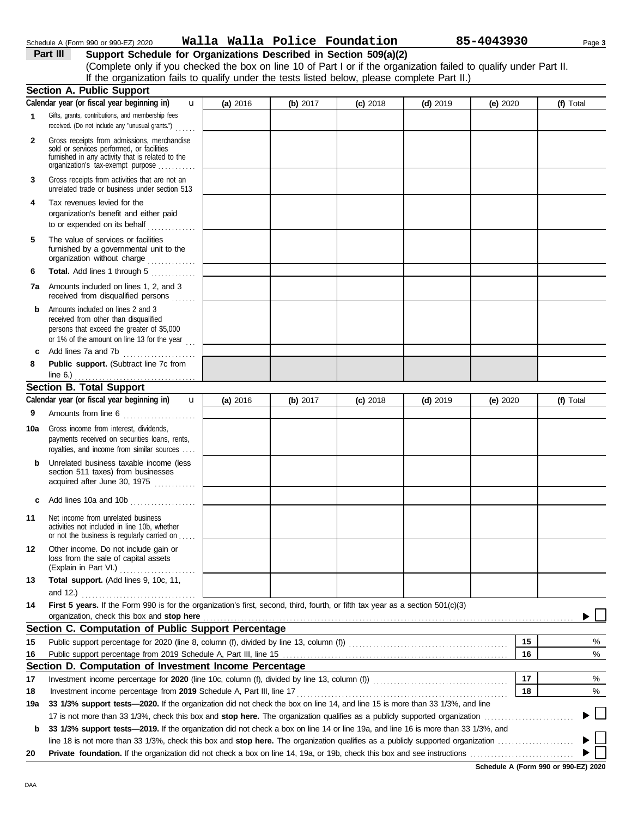| Schedule A (Form 990 or 990-EZ) 202 |  |  |  |
|-------------------------------------|--|--|--|

### Schedule A (Form 990 or 990-EZ) 2020 Page **3 Walla Walla Police Foundation 85-4043930**

**Part III Support Schedule for Organizations Described in Section 509(a)(2)** (Complete only if you checked the box on line 10 of Part I or if the organization failed to qualify under Part II. If the organization fails to qualify under the tests listed below, please complete Part II.)

|              | <b>Section A. Public Support</b>                                                                                                                                                  |          |            |            |            |            |    |           |
|--------------|-----------------------------------------------------------------------------------------------------------------------------------------------------------------------------------|----------|------------|------------|------------|------------|----|-----------|
|              | Calendar year (or fiscal year beginning in)<br>u                                                                                                                                  | (a) 2016 | (b) $2017$ | $(c)$ 2018 | $(d)$ 2019 | (e) $2020$ |    | (f) Total |
| 1            | Gifts, grants, contributions, and membership fees<br>received. (Do not include any "unusual grants.")                                                                             |          |            |            |            |            |    |           |
| $\mathbf{2}$ | Gross receipts from admissions, merchandise<br>sold or services performed, or facilities<br>furnished in any activity that is related to the<br>organization's tax-exempt purpose |          |            |            |            |            |    |           |
| 3            | Gross receipts from activities that are not an<br>unrelated trade or business under section 513                                                                                   |          |            |            |            |            |    |           |
| 4            | Tax revenues levied for the<br>organization's benefit and either paid<br>to or expended on its behalf                                                                             |          |            |            |            |            |    |           |
| 5            | The value of services or facilities<br>furnished by a governmental unit to the<br>organization without charge                                                                     |          |            |            |            |            |    |           |
| 6            | Total. Add lines 1 through 5                                                                                                                                                      |          |            |            |            |            |    |           |
| 7a           | Amounts included on lines 1, 2, and 3<br>received from disqualified persons                                                                                                       |          |            |            |            |            |    |           |
| b            | Amounts included on lines 2 and 3<br>received from other than disqualified<br>persons that exceed the greater of \$5,000<br>or 1% of the amount on line 13 for the year           |          |            |            |            |            |    |           |
| c            | Add lines 7a and 7b                                                                                                                                                               |          |            |            |            |            |    |           |
| 8            | Public support. (Subtract line 7c from                                                                                                                                            |          |            |            |            |            |    |           |
|              | <b>Section B. Total Support</b>                                                                                                                                                   |          |            |            |            |            |    |           |
|              | Calendar year (or fiscal year beginning in)<br>$\mathbf{u}$                                                                                                                       | (a) 2016 | (b) 2017   | $(c)$ 2018 | $(d)$ 2019 | (e) 2020   |    | (f) Total |
| 9            | Amounts from line 6                                                                                                                                                               |          |            |            |            |            |    |           |
| 10a          | Gross income from interest, dividends,<br>payments received on securities loans, rents,<br>royalties, and income from similar sources                                             |          |            |            |            |            |    |           |
| b            | Unrelated business taxable income (less<br>section 511 taxes) from businesses<br>acquired after June 30, 1975                                                                     |          |            |            |            |            |    |           |
| c            | Add lines 10a and 10b                                                                                                                                                             |          |            |            |            |            |    |           |
| 11           | Net income from unrelated business<br>activities not included in line 10b, whether<br>or not the business is regularly carried on                                                 |          |            |            |            |            |    |           |
| 12           | Other income. Do not include gain or<br>loss from the sale of capital assets<br>(Explain in Part VI.)<br>.                                                                        |          |            |            |            |            |    |           |
| 13           | Total support. (Add lines 9, 10c, 11,<br>and 12.)                                                                                                                                 |          |            |            |            |            |    |           |
| 14           | First 5 years. If the Form 990 is for the organization's first, second, third, fourth, or fifth tax year as a section 501(c)(3)                                                   |          |            |            |            |            |    |           |
|              | organization, check this box and stop here                                                                                                                                        |          |            |            |            |            |    |           |
|              | Section C. Computation of Public Support Percentage                                                                                                                               |          |            |            |            |            |    |           |
| 15           |                                                                                                                                                                                   |          |            |            |            |            | 15 | %         |
| 16           |                                                                                                                                                                                   |          |            |            |            |            | 16 | %         |
|              | Section D. Computation of Investment Income Percentage                                                                                                                            |          |            |            |            |            |    |           |
| 17           |                                                                                                                                                                                   |          |            |            |            |            | 17 | %         |
| 18           | Investment income percentage from 2019 Schedule A, Part III, line 17                                                                                                              |          |            |            |            |            | 18 | %         |
| 19a          | 33 1/3% support tests-2020. If the organization did not check the box on line 14, and line 15 is more than 33 1/3%, and line                                                      |          |            |            |            |            |    |           |
|              |                                                                                                                                                                                   |          |            |            |            |            |    |           |
| b            | 33 1/3% support tests-2019. If the organization did not check a box on line 14 or line 19a, and line 16 is more than 33 1/3%, and                                                 |          |            |            |            |            |    |           |
|              |                                                                                                                                                                                   |          |            |            |            |            |    |           |
| 20           |                                                                                                                                                                                   |          |            |            |            |            |    |           |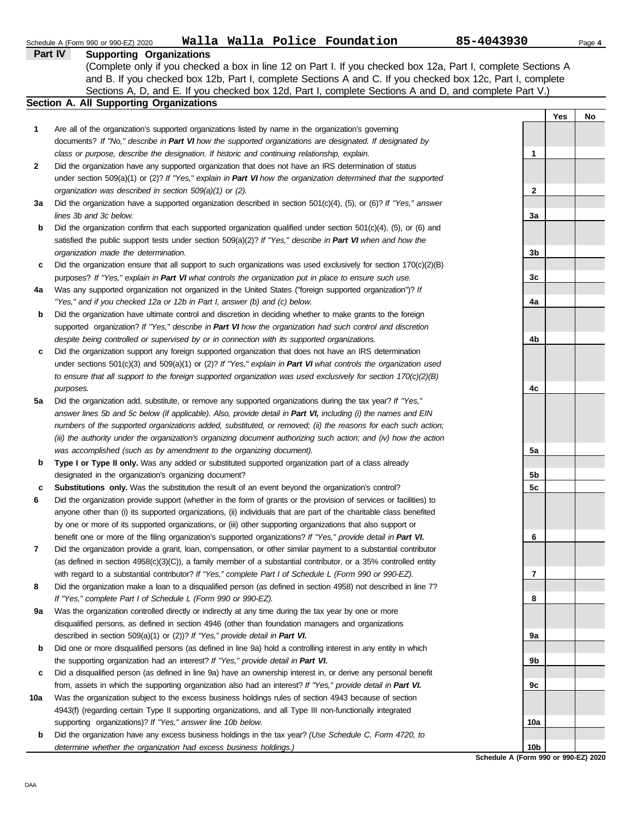|     | Walla Walla Police Foundation<br>Schedule A (Form 990 or 990-EZ) 2020                                               | 85-4043930 | Page 4    |
|-----|---------------------------------------------------------------------------------------------------------------------|------------|-----------|
|     | <b>Part IV</b><br><b>Supporting Organizations</b>                                                                   |            |           |
|     | (Complete only if you checked a box in line 12 on Part I. If you checked box 12a, Part I, complete Sections A       |            |           |
|     | and B. If you checked box 12b, Part I, complete Sections A and C. If you checked box 12c, Part I, complete          |            |           |
|     | Sections A, D, and E. If you checked box 12d, Part I, complete Sections A and D, and complete Part V.)              |            |           |
|     | Section A. All Supporting Organizations                                                                             |            |           |
|     |                                                                                                                     |            | Yes<br>No |
| 1   | Are all of the organization's supported organizations listed by name in the organization's governing                |            |           |
|     | documents? If "No," describe in Part VI how the supported organizations are designated. If designated by            |            |           |
|     | class or purpose, describe the designation. If historic and continuing relationship, explain.                       | 1          |           |
| 2   | Did the organization have any supported organization that does not have an IRS determination of status              |            |           |
|     | under section 509(a)(1) or (2)? If "Yes," explain in Part VI how the organization determined that the supported     |            |           |
|     | organization was described in section 509(a)(1) or (2).                                                             | 2          |           |
| За  | Did the organization have a supported organization described in section $501(c)(4)$ , (5), or (6)? If "Yes," answer |            |           |
|     | lines 3b and 3c below.                                                                                              | 3a         |           |
| b   | Did the organization confirm that each supported organization qualified under section 501(c)(4), (5), or (6) and    |            |           |
|     | satisfied the public support tests under section $509(a)(2)?$ If "Yes," describe in Part VI when and how the        |            |           |
|     | organization made the determination.                                                                                | 3b         |           |
| c   | Did the organization ensure that all support to such organizations was used exclusively for section $170(c)(2)(B)$  |            |           |
|     | purposes? If "Yes," explain in Part VI what controls the organization put in place to ensure such use.              | 3c         |           |
| 4a  | Was any supported organization not organized in the United States ("foreign supported organization")? If            |            |           |
|     | "Yes," and if you checked 12a or 12b in Part I, answer (b) and (c) below.                                           | 4a         |           |
|     | Did the organization have ultimate control and discretion in deciding whether to make grants to the foreign         |            |           |
| b   |                                                                                                                     |            |           |
|     | supported organization? If "Yes," describe in Part VI how the organization had such control and discretion          |            |           |
|     | despite being controlled or supervised by or in connection with its supported organizations.                        | 4b         |           |
| c   | Did the organization support any foreign supported organization that does not have an IRS determination             |            |           |
|     | under sections $501(c)(3)$ and $509(a)(1)$ or (2)? If "Yes," explain in Part VI what controls the organization used |            |           |
|     | to ensure that all support to the foreign supported organization was used exclusively for section $170(c)(2)(B)$    |            |           |
|     | purposes.                                                                                                           | 4c         |           |
| 5а  | Did the organization add, substitute, or remove any supported organizations during the tax year? If "Yes,"          |            |           |
|     | answer lines 5b and 5c below (if applicable). Also, provide detail in Part VI, including (i) the names and EIN      |            |           |
|     | numbers of the supported organizations added, substituted, or removed; (ii) the reasons for each such action;       |            |           |
|     | (iii) the authority under the organization's organizing document authorizing such action; and (iv) how the action   |            |           |
|     | was accomplished (such as by amendment to the organizing document).                                                 | 5a         |           |
| b   | Type I or Type II only. Was any added or substituted supported organization part of a class already                 |            |           |
|     | designated in the organization's organizing document?                                                               | 5b         |           |
| с   | Substitutions only. Was the substitution the result of an event beyond the organization's control?                  | 5c         |           |
|     | Did the organization provide support (whether in the form of grants or the provision of services or facilities) to  |            |           |
|     | anyone other than (i) its supported organizations, (ii) individuals that are part of the charitable class benefited |            |           |
|     | by one or more of its supported organizations, or (iii) other supporting organizations that also support or         |            |           |
|     | benefit one or more of the filing organization's supported organizations? If "Yes," provide detail in Part VI.      | 6          |           |
| 7   | Did the organization provide a grant, loan, compensation, or other similar payment to a substantial contributor     |            |           |
|     | (as defined in section $4958(c)(3)(C)$ ), a family member of a substantial contributor, or a 35% controlled entity  |            |           |
|     | with regard to a substantial contributor? If "Yes," complete Part I of Schedule L (Form 990 or 990-EZ).             | 7          |           |
| 8   | Did the organization make a loan to a disqualified person (as defined in section 4958) not described in line 7?     |            |           |
|     | If "Yes," complete Part I of Schedule L (Form 990 or 990-EZ).                                                       | 8          |           |
| 9a  | Was the organization controlled directly or indirectly at any time during the tax year by one or more               |            |           |
|     | disqualified persons, as defined in section 4946 (other than foundation managers and organizations                  |            |           |
|     | described in section 509(a)(1) or (2))? If "Yes," provide detail in Part VI.                                        | 9а         |           |
| b   | Did one or more disqualified persons (as defined in line 9a) hold a controlling interest in any entity in which     |            |           |
|     | the supporting organization had an interest? If "Yes," provide detail in Part VI.                                   | 9b         |           |
| c   | Did a disqualified person (as defined in line 9a) have an ownership interest in, or derive any personal benefit     |            |           |
|     | from, assets in which the supporting organization also had an interest? If "Yes," provide detail in Part VI.        | 9c         |           |
| 10a | Was the organization subject to the excess business holdings rules of section 4943 because of section               |            |           |
|     | 4943(f) (regarding certain Type II supporting organizations, and all Type III non-functionally integrated           |            |           |
|     | supporting organizations)? If "Yes," answer line 10b below.                                                         | 10a        |           |
| b   | Did the organization have any excess business holdings in the tax year? (Use Schedule C, Form 4720, to              |            |           |
|     | determine whether the organization had excess business holdings.)                                                   | 10b        |           |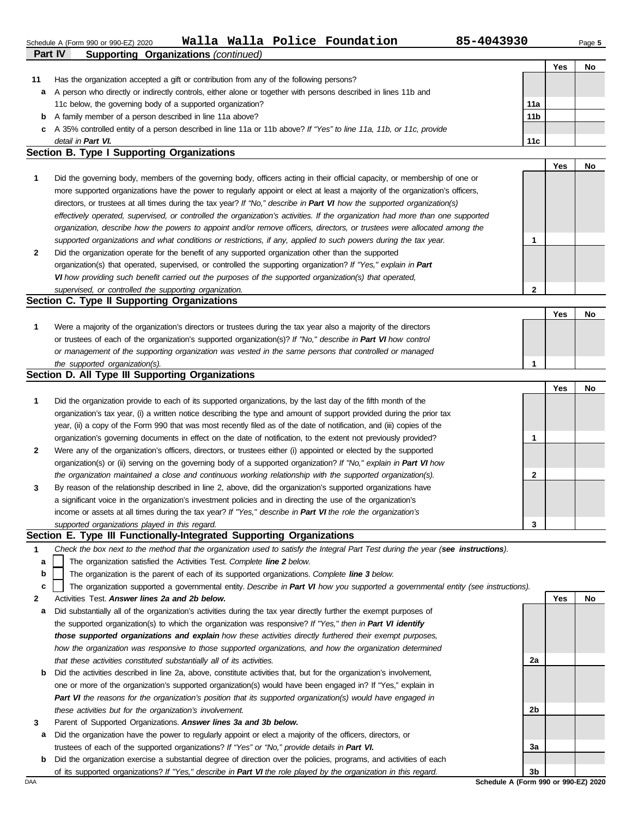| Schedule A (Form 990 or 990-EZ) 2020 |  |  |  | Walla Walla Police Foundation | 85-4043930 | Page 5 |
|--------------------------------------|--|--|--|-------------------------------|------------|--------|
|--------------------------------------|--|--|--|-------------------------------|------------|--------|

|    |                                                                                                                      |                 | Yes | No |
|----|----------------------------------------------------------------------------------------------------------------------|-----------------|-----|----|
| 11 | Has the organization accepted a gift or contribution from any of the following persons?                              |                 |     |    |
| a  | A person who directly or indirectly controls, either alone or together with persons described in lines 11b and       |                 |     |    |
|    | 11c below, the governing body of a supported organization?                                                           | 11a             |     |    |
| b  | A family member of a person described in line 11a above?                                                             | 11 <sub>b</sub> |     |    |
|    | c A 35% controlled entity of a person described in line 11a or 11b above? If "Yes" to line 11a, 11b, or 11c, provide |                 |     |    |
|    | detail in Part VI.                                                                                                   | 11c             |     |    |

#### **Section B. Type I Supporting Organizations**

**Part IV Supporting Organizations** *(continued)*

|              |                                                                                                                                |   | Yes | No |
|--------------|--------------------------------------------------------------------------------------------------------------------------------|---|-----|----|
|              | Did the governing body, members of the governing body, officers acting in their official capacity, or membership of one or     |   |     |    |
|              | more supported organizations have the power to regularly appoint or elect at least a majority of the organization's officers,  |   |     |    |
|              | directors, or trustees at all times during the tax year? If "No," describe in Part VI how the supported organization(s)        |   |     |    |
|              | effectively operated, supervised, or controlled the organization's activities. If the organization had more than one supported |   |     |    |
|              | organization, describe how the powers to appoint and/or remove officers, directors, or trustees were allocated among the       |   |     |    |
|              | supported organizations and what conditions or restrictions, if any, applied to such powers during the tax year.               |   |     |    |
| $\mathbf{2}$ | Did the organization operate for the benefit of any supported organization other than the supported                            |   |     |    |
|              | organization(s) that operated, supervised, or controlled the supporting organization? If "Yes," explain in Part                |   |     |    |
|              | VI how providing such benefit carried out the purposes of the supported organization(s) that operated,                         |   |     |    |
|              | supervised, or controlled the supporting organization.                                                                         | 2 |     |    |
|              | Section C. Type II Supporting Organizations                                                                                    |   |     |    |

|                                                                                                                  |  | No |
|------------------------------------------------------------------------------------------------------------------|--|----|
| Were a majority of the organization's directors or trustees during the tax year also a majority of the directors |  |    |
| or trustees of each of the organization's supported organization(s)? If "No," describe in Part VI how control    |  |    |
| or management of the supporting organization was vested in the same persons that controlled or managed           |  |    |
| the supported organization(s).                                                                                   |  |    |

#### **Section D. All Type III Supporting Organizations**

|                |                                                                                                                        |   | Yes | No |
|----------------|------------------------------------------------------------------------------------------------------------------------|---|-----|----|
| 1              | Did the organization provide to each of its supported organizations, by the last day of the fifth month of the         |   |     |    |
|                | organization's tax year, (i) a written notice describing the type and amount of support provided during the prior tax  |   |     |    |
|                | year, (ii) a copy of the Form 990 that was most recently filed as of the date of notification, and (iii) copies of the |   |     |    |
|                | organization's governing documents in effect on the date of notification, to the extent not previously provided?       |   |     |    |
| $\overline{2}$ | Were any of the organization's officers, directors, or trustees either (i) appointed or elected by the supported       |   |     |    |
|                | organization(s) or (ii) serving on the governing body of a supported organization? If "No," explain in Part VI how     |   |     |    |
|                | the organization maintained a close and continuous working relationship with the supported organization(s).            | 2 |     |    |
| $\mathbf{3}$   | By reason of the relationship described in line 2, above, did the organization's supported organizations have          |   |     |    |
|                | a significant voice in the organization's investment policies and in directing the use of the organization's           |   |     |    |
|                | income or assets at all times during the tax year? If "Yes," describe in Part VI the role the organization's           |   |     |    |
|                | supported organizations played in this regard.                                                                         | 3 |     |    |

#### **Section E. Type III Functionally-Integrated Supporting Organizations**

| Check the box next to the method that the organization used to satisfy the Integral Part Test during the year (see instructions). |  |  |
|-----------------------------------------------------------------------------------------------------------------------------------|--|--|
|                                                                                                                                   |  |  |

The organization satisfied the Activities Test. *Complete line 2 below.* **a**

The organization is the parent of each of its supported organizations. *Complete line 3 below.* **b**

The organization supported a governmental entity. *Describe in Part VI how you supported a governmental entity (see instructions).* **c**

- **2** Activities Test. *Answer lines 2a and 2b below.*
- **a** Did substantially all of the organization's activities during the tax year directly further the exempt purposes of the supported organization(s) to which the organization was responsive? *If "Yes," then in Part VI identify those supported organizations and explain how these activities directly furthered their exempt purposes, how the organization was responsive to those supported organizations, and how the organization determined that these activities constituted substantially all of its activities.*
- **b** Did the activities described in line 2a, above, constitute activities that, but for the organization's involvement, one or more of the organization's supported organization(s) would have been engaged in? If "Yes," explain in *Part VI the reasons for the organization's position that its supported organization(s) would have engaged in these activities but for the organization's involvement.*
- **3** Parent of Supported Organizations. *Answer lines 3a and 3b below.*
- **a** Did the organization have the power to regularly appoint or elect a majority of the officers, directors, or trustees of each of the supported organizations? *If "Yes" or "No," provide details in Part VI.*
- **b** Did the organization exercise a substantial degree of direction over the policies, programs, and activities of each of its supported organizations? *If "Yes," describe in Part VI the role played by the organization in this regard.*

**Yes No 2a 2b 3a 3b**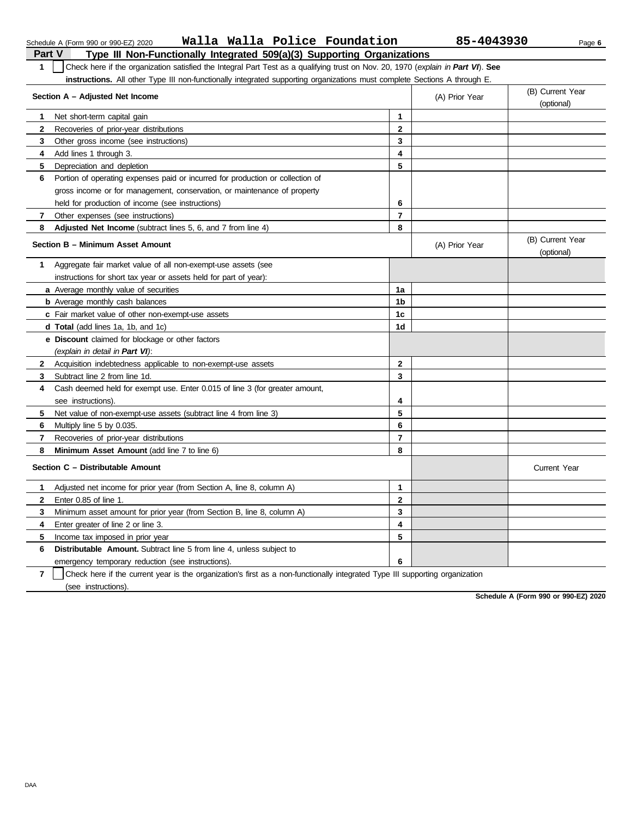| <b>Part V</b>  | Type III Non-Functionally Integrated 509(a)(3) Supporting Organizations                                                          |                         |                          |                                |
|----------------|----------------------------------------------------------------------------------------------------------------------------------|-------------------------|--------------------------|--------------------------------|
| 1              | Check here if the organization satisfied the Integral Part Test as a qualifying trust on Nov. 20, 1970 (explain in Part VI). See |                         |                          |                                |
|                | instructions. All other Type III non-functionally integrated supporting organizations must complete Sections A through E.        |                         |                          |                                |
|                | Section A - Adjusted Net Income                                                                                                  |                         | (A) Prior Year           | (B) Current Year               |
|                |                                                                                                                                  |                         |                          | (optional)                     |
| 1              | Net short-term capital gain                                                                                                      | 1                       |                          |                                |
| 2              | Recoveries of prior-year distributions                                                                                           | $\mathbf 2$             |                          |                                |
| 3              | Other gross income (see instructions)                                                                                            | 3                       |                          |                                |
| 4              | Add lines 1 through 3.                                                                                                           | 4                       |                          |                                |
| 5              | Depreciation and depletion                                                                                                       | 5                       |                          |                                |
| 6              | Portion of operating expenses paid or incurred for production or collection of                                                   |                         |                          |                                |
|                | gross income or for management, conservation, or maintenance of property                                                         |                         |                          |                                |
|                | held for production of income (see instructions)                                                                                 | 6                       |                          |                                |
| $\mathbf{7}$   | Other expenses (see instructions)                                                                                                | $\overline{\mathbf{r}}$ |                          |                                |
| 8              | Adjusted Net Income (subtract lines 5, 6, and 7 from line 4)                                                                     | 8                       |                          |                                |
|                | Section B - Minimum Asset Amount                                                                                                 |                         | (A) Prior Year           | (B) Current Year<br>(optional) |
| 1              | Aggregate fair market value of all non-exempt-use assets (see                                                                    |                         |                          |                                |
|                | instructions for short tax year or assets held for part of year):                                                                |                         |                          |                                |
|                | a Average monthly value of securities                                                                                            | 1a                      |                          |                                |
|                | <b>b</b> Average monthly cash balances                                                                                           | 1b                      |                          |                                |
|                | c Fair market value of other non-exempt-use assets                                                                               | 1 <sub>c</sub>          |                          |                                |
|                | <b>d Total</b> (add lines 1a, 1b, and 1c)                                                                                        | 1d                      |                          |                                |
|                | <b>e</b> Discount claimed for blockage or other factors                                                                          |                         |                          |                                |
|                | (explain in detail in Part VI):                                                                                                  |                         |                          |                                |
| 2              | Acquisition indebtedness applicable to non-exempt-use assets                                                                     | $\overline{2}$          |                          |                                |
| 3              | Subtract line 2 from line 1d.                                                                                                    | 3                       |                          |                                |
| 4              | Cash deemed held for exempt use. Enter 0.015 of line 3 (for greater amount,                                                      |                         |                          |                                |
|                | see instructions).                                                                                                               | 4                       |                          |                                |
| 5.             | Net value of non-exempt-use assets (subtract line 4 from line 3)                                                                 | 5                       |                          |                                |
| 6              | Multiply line 5 by 0.035.                                                                                                        | 6                       |                          |                                |
| 7              | Recoveries of prior-year distributions                                                                                           | $\overline{7}$          |                          |                                |
| 8              | Minimum Asset Amount (add line 7 to line 6)                                                                                      | 8                       |                          |                                |
|                | Section C - Distributable Amount                                                                                                 |                         |                          | <b>Current Year</b>            |
| 1              | Adjusted net income for prior year (from Section A, line 8, column A)                                                            | 1                       |                          |                                |
| 2              | Enter 0.85 of line 1.                                                                                                            | $\mathbf{2}$            |                          |                                |
| 3              | Minimum asset amount for prior year (from Section B, line 8, column A)                                                           | 3                       |                          |                                |
| 4              | Enter greater of line 2 or line 3.                                                                                               | $\overline{\mathbf{4}}$ |                          |                                |
| 5              | Income tax imposed in prior year                                                                                                 | 5                       |                          |                                |
| 6              | <b>Distributable Amount.</b> Subtract line 5 from line 4, unless subject to                                                      |                         |                          |                                |
|                | emergency temporary reduction (see instructions).                                                                                | 6                       |                          |                                |
| $\overline{ }$ | $\Box$ Check have if the current vear is the expanizations first as a non-functionally integrated Type                           |                         | III augusting appointing |                                |

Schedule A (Form 990 or 990-EZ) 2020 Page **6 Walla Walla Police Foundation 85-4043930**

**7** | Check here if the current year is the organization's first as a non-functionally integrated Type III supporting organization (see instructions).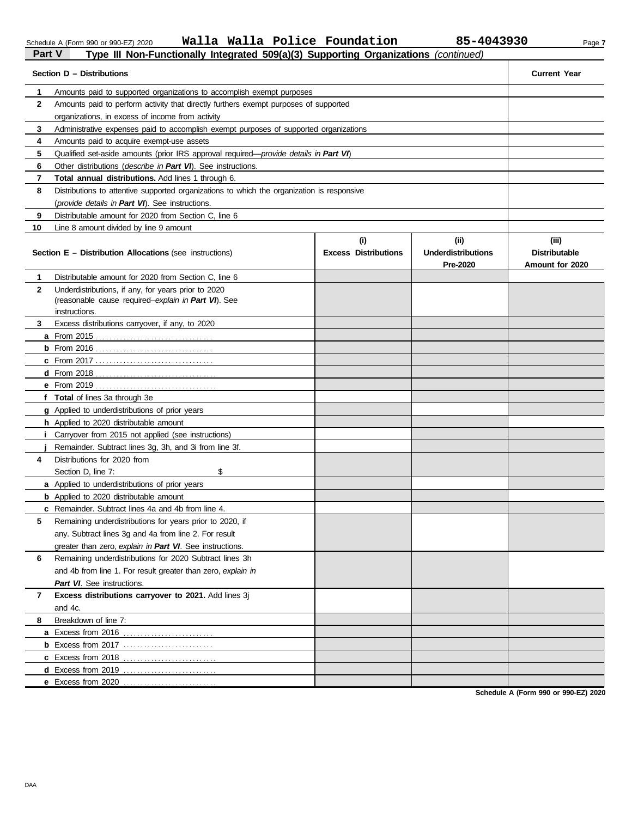DAA

|--|

Schedule A (Form 990 or 990-EZ) 2020 Page **7 Walla Walla Police Foundation 85-4043930Part V Type III Non-Functionally Integrated 509(a)(3) Supporting Organizations** *(continued)*<br>**Part V Type III Non-Functionally Integrated 509(a)(3) Supporting Organizations** *(continued)* 

|              | Section D - Distributions                                                                  |                                    |                                               | <b>Current Year</b>                              |
|--------------|--------------------------------------------------------------------------------------------|------------------------------------|-----------------------------------------------|--------------------------------------------------|
| 1            | Amounts paid to supported organizations to accomplish exempt purposes                      |                                    |                                               |                                                  |
| $\mathbf{2}$ | Amounts paid to perform activity that directly furthers exempt purposes of supported       |                                    |                                               |                                                  |
|              | organizations, in excess of income from activity                                           |                                    |                                               |                                                  |
| 3            | Administrative expenses paid to accomplish exempt purposes of supported organizations      |                                    |                                               |                                                  |
| 4            | Amounts paid to acquire exempt-use assets                                                  |                                    |                                               |                                                  |
| 5            | Qualified set-aside amounts (prior IRS approval required-provide details in Part VI)       |                                    |                                               |                                                  |
| 6            | Other distributions (describe in Part VI). See instructions.                               |                                    |                                               |                                                  |
| 7            | Total annual distributions. Add lines 1 through 6.                                         |                                    |                                               |                                                  |
| 8            | Distributions to attentive supported organizations to which the organization is responsive |                                    |                                               |                                                  |
|              | (provide details in Part VI). See instructions.                                            |                                    |                                               |                                                  |
| 9            | Distributable amount for 2020 from Section C, line 6                                       |                                    |                                               |                                                  |
| 10           | Line 8 amount divided by line 9 amount                                                     |                                    |                                               |                                                  |
|              | <b>Section E - Distribution Allocations (see instructions)</b>                             | (i)<br><b>Excess Distributions</b> | (ii)<br><b>Underdistributions</b><br>Pre-2020 | (iii)<br><b>Distributable</b><br>Amount for 2020 |
| 1            | Distributable amount for 2020 from Section C, line 6                                       |                                    |                                               |                                                  |
| $\mathbf{2}$ | Underdistributions, if any, for years prior to 2020                                        |                                    |                                               |                                                  |
|              | (reasonable cause required-explain in Part VI). See                                        |                                    |                                               |                                                  |
| 3            | instructions.<br>Excess distributions carryover, if any, to 2020                           |                                    |                                               |                                                  |
|              |                                                                                            |                                    |                                               |                                                  |
|              |                                                                                            |                                    |                                               |                                                  |
|              |                                                                                            |                                    |                                               |                                                  |
|              |                                                                                            |                                    |                                               |                                                  |
|              |                                                                                            |                                    |                                               |                                                  |
|              | f Total of lines 3a through 3e                                                             |                                    |                                               |                                                  |
|              | <b>g</b> Applied to underdistributions of prior years                                      |                                    |                                               |                                                  |
|              | h Applied to 2020 distributable amount                                                     |                                    |                                               |                                                  |
|              | <i>i</i> Carryover from 2015 not applied (see instructions)                                |                                    |                                               |                                                  |
|              | Remainder. Subtract lines 3g, 3h, and 3i from line 3f.                                     |                                    |                                               |                                                  |
| 4            | Distributions for 2020 from                                                                |                                    |                                               |                                                  |
|              | \$<br>Section D, line 7:                                                                   |                                    |                                               |                                                  |
|              | a Applied to underdistributions of prior years                                             |                                    |                                               |                                                  |
|              | <b>b</b> Applied to 2020 distributable amount                                              |                                    |                                               |                                                  |
|              | c Remainder. Subtract lines 4a and 4b from line 4.                                         |                                    |                                               |                                                  |
|              | Remaining underdistributions for years prior to 2020, if                                   |                                    |                                               |                                                  |
|              | any. Subtract lines 3g and 4a from line 2. For result                                      |                                    |                                               |                                                  |
|              | greater than zero, explain in Part VI. See instructions.                                   |                                    |                                               |                                                  |
| 6            | Remaining underdistributions for 2020 Subtract lines 3h                                    |                                    |                                               |                                                  |
|              | and 4b from line 1. For result greater than zero, explain in                               |                                    |                                               |                                                  |
|              | Part VI. See instructions.                                                                 |                                    |                                               |                                                  |
| 7            | Excess distributions carryover to 2021. Add lines 3j                                       |                                    |                                               |                                                  |
|              | and 4c.                                                                                    |                                    |                                               |                                                  |
| 8            | Breakdown of line 7:                                                                       |                                    |                                               |                                                  |
|              | a Excess from 2016                                                                         |                                    |                                               |                                                  |
|              | <b>b</b> Excess from 2017                                                                  |                                    |                                               |                                                  |
|              |                                                                                            |                                    |                                               |                                                  |
|              |                                                                                            |                                    |                                               |                                                  |
|              | e Excess from 2020                                                                         |                                    |                                               |                                                  |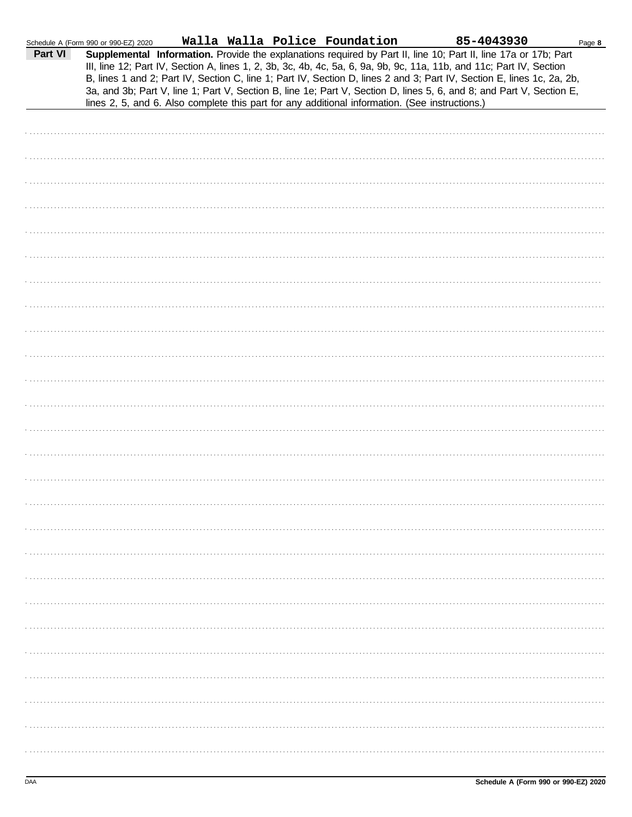|         | Schedule A (Form 990 or 990-EZ) 2020                                                           |  | Walla Walla Police Foundation | 85-4043930                                                                                                                                                                                                                                                                                                                                                                                                                                                                                | Page 8 |
|---------|------------------------------------------------------------------------------------------------|--|-------------------------------|-------------------------------------------------------------------------------------------------------------------------------------------------------------------------------------------------------------------------------------------------------------------------------------------------------------------------------------------------------------------------------------------------------------------------------------------------------------------------------------------|--------|
| Part VI | lines 2, 5, and 6. Also complete this part for any additional information. (See instructions.) |  |                               | Supplemental Information. Provide the explanations required by Part II, line 10; Part II, line 17a or 17b; Part<br>III, line 12; Part IV, Section A, lines 1, 2, 3b, 3c, 4b, 4c, 5a, 6, 9a, 9b, 9c, 11a, 11b, and 11c; Part IV, Section<br>B, lines 1 and 2; Part IV, Section C, line 1; Part IV, Section D, lines 2 and 3; Part IV, Section E, lines 1c, 2a, 2b,<br>3a, and 3b; Part V, line 1; Part V, Section B, line 1e; Part V, Section D, lines 5, 6, and 8; and Part V, Section E, |        |
|         |                                                                                                |  |                               |                                                                                                                                                                                                                                                                                                                                                                                                                                                                                           |        |
|         |                                                                                                |  |                               |                                                                                                                                                                                                                                                                                                                                                                                                                                                                                           |        |
|         |                                                                                                |  |                               |                                                                                                                                                                                                                                                                                                                                                                                                                                                                                           |        |
|         |                                                                                                |  |                               |                                                                                                                                                                                                                                                                                                                                                                                                                                                                                           |        |
|         |                                                                                                |  |                               |                                                                                                                                                                                                                                                                                                                                                                                                                                                                                           |        |
|         |                                                                                                |  |                               |                                                                                                                                                                                                                                                                                                                                                                                                                                                                                           |        |
|         |                                                                                                |  |                               |                                                                                                                                                                                                                                                                                                                                                                                                                                                                                           |        |
|         |                                                                                                |  |                               |                                                                                                                                                                                                                                                                                                                                                                                                                                                                                           |        |
|         |                                                                                                |  |                               |                                                                                                                                                                                                                                                                                                                                                                                                                                                                                           |        |
|         |                                                                                                |  |                               |                                                                                                                                                                                                                                                                                                                                                                                                                                                                                           |        |
|         |                                                                                                |  |                               |                                                                                                                                                                                                                                                                                                                                                                                                                                                                                           |        |
|         |                                                                                                |  |                               |                                                                                                                                                                                                                                                                                                                                                                                                                                                                                           |        |
|         |                                                                                                |  |                               |                                                                                                                                                                                                                                                                                                                                                                                                                                                                                           |        |
|         |                                                                                                |  |                               |                                                                                                                                                                                                                                                                                                                                                                                                                                                                                           |        |
|         |                                                                                                |  |                               |                                                                                                                                                                                                                                                                                                                                                                                                                                                                                           |        |
|         |                                                                                                |  |                               |                                                                                                                                                                                                                                                                                                                                                                                                                                                                                           |        |
|         |                                                                                                |  |                               |                                                                                                                                                                                                                                                                                                                                                                                                                                                                                           |        |
|         |                                                                                                |  |                               |                                                                                                                                                                                                                                                                                                                                                                                                                                                                                           |        |
|         |                                                                                                |  |                               |                                                                                                                                                                                                                                                                                                                                                                                                                                                                                           |        |
|         |                                                                                                |  |                               |                                                                                                                                                                                                                                                                                                                                                                                                                                                                                           |        |
|         |                                                                                                |  |                               |                                                                                                                                                                                                                                                                                                                                                                                                                                                                                           |        |
|         |                                                                                                |  |                               |                                                                                                                                                                                                                                                                                                                                                                                                                                                                                           |        |
|         |                                                                                                |  |                               |                                                                                                                                                                                                                                                                                                                                                                                                                                                                                           |        |
|         |                                                                                                |  |                               |                                                                                                                                                                                                                                                                                                                                                                                                                                                                                           |        |
|         |                                                                                                |  |                               |                                                                                                                                                                                                                                                                                                                                                                                                                                                                                           |        |
|         |                                                                                                |  |                               |                                                                                                                                                                                                                                                                                                                                                                                                                                                                                           |        |
|         |                                                                                                |  |                               |                                                                                                                                                                                                                                                                                                                                                                                                                                                                                           |        |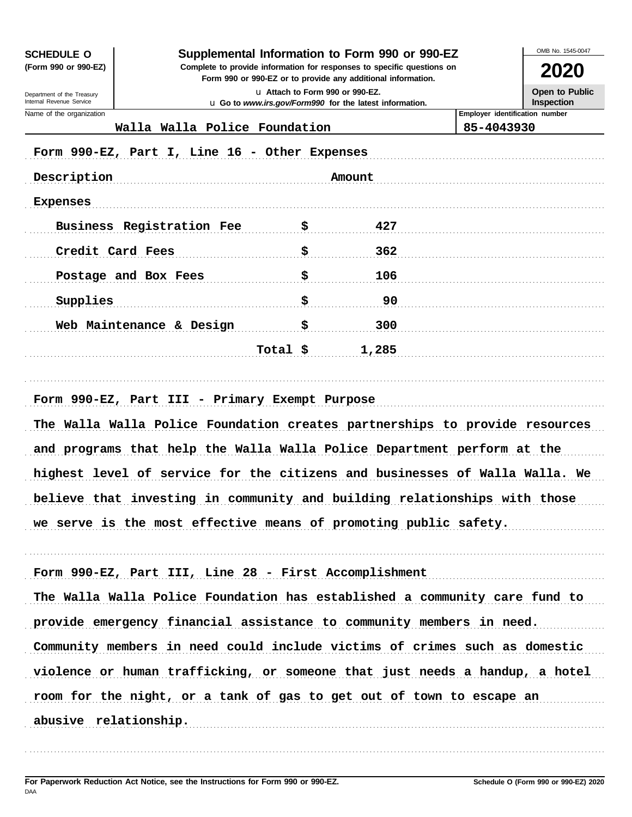**SCHEDULE O** 

(Form 990 or 990-EZ)

Department of the Treasury Internal Revenue Service

Name of the organization

### Supplemental Information to Form 990 or 990-EZ

Complete to provide information for responses to specific questions on Form 990 or 990-EZ or to provide any additional information.

2020 **Open to Public** 

Inspection

OMB No. 1545-0047

u Attach to Form 990 or 990-EZ. u Go to www.irs.gov/Form990 for the latest information.

**Employer identification number** 

85-4043930

### Walla Walla Police Foundation

| Description               |          | Amount |  |
|---------------------------|----------|--------|--|
| <b>Expenses</b>           |          |        |  |
| Business Registration Fee | \$       | 427    |  |
| Credit Card Fees          | \$       | 362    |  |
| Postage and Box Fees      | \$       | 106    |  |
| Supplies                  | \$       | 90     |  |
| Web Maintenance & Design  | \$       | 300    |  |
|                           | Total \$ | 1,285  |  |

## Form 990-EZ, Part III - Primary Exempt Purpose The Walla Walla Police Foundation creates partnerships to provide resources and programs that help the Walla Walla Police Department perform at the highest level of service for the citizens and businesses of Walla Walla. We believe that investing in community and building relationships with those

we serve is the most effective means of promoting public safety.

Form 990-EZ, Part III, Line 28 - First Accomplishment The Walla Walla Police Foundation has established a community care fund to provide emergency financial assistance to community members in need. Community members in need could include victims of crimes such as domestic violence or human trafficking, or someone that just needs a handup, a hotel room for the night, or a tank of gas to get out of town to escape an abusive relationship.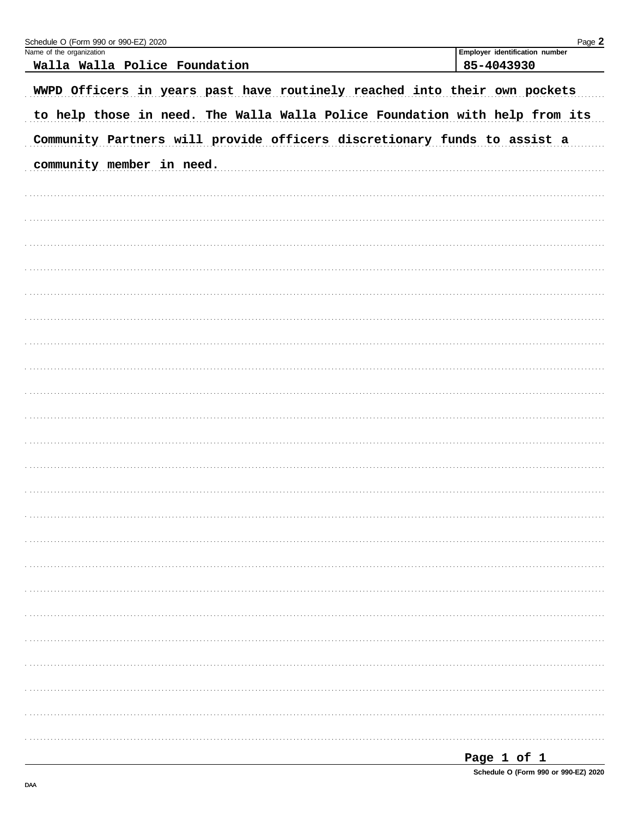| Schedule O (Form 990 or 990-EZ) 2020                                        | Page 2                                       |
|-----------------------------------------------------------------------------|----------------------------------------------|
| Name of the organization<br>Walla Walla Police Foundation                   | Employer identification number<br>85-4043930 |
|                                                                             |                                              |
| WWPD Officers in years past have routinely reached into their own pockets   |                                              |
| to help those in need. The Walla Walla Police Foundation with help from its |                                              |
| Community Partners will provide officers discretionary funds to assist a    |                                              |
| community member in need.                                                   |                                              |
|                                                                             |                                              |
|                                                                             |                                              |
|                                                                             |                                              |
|                                                                             |                                              |
|                                                                             |                                              |
|                                                                             |                                              |
|                                                                             |                                              |
|                                                                             |                                              |
|                                                                             |                                              |
|                                                                             |                                              |
|                                                                             |                                              |
|                                                                             |                                              |
|                                                                             |                                              |
|                                                                             |                                              |
|                                                                             |                                              |
|                                                                             |                                              |
|                                                                             |                                              |
|                                                                             |                                              |
|                                                                             |                                              |
|                                                                             |                                              |
|                                                                             |                                              |
|                                                                             |                                              |
|                                                                             |                                              |

|--|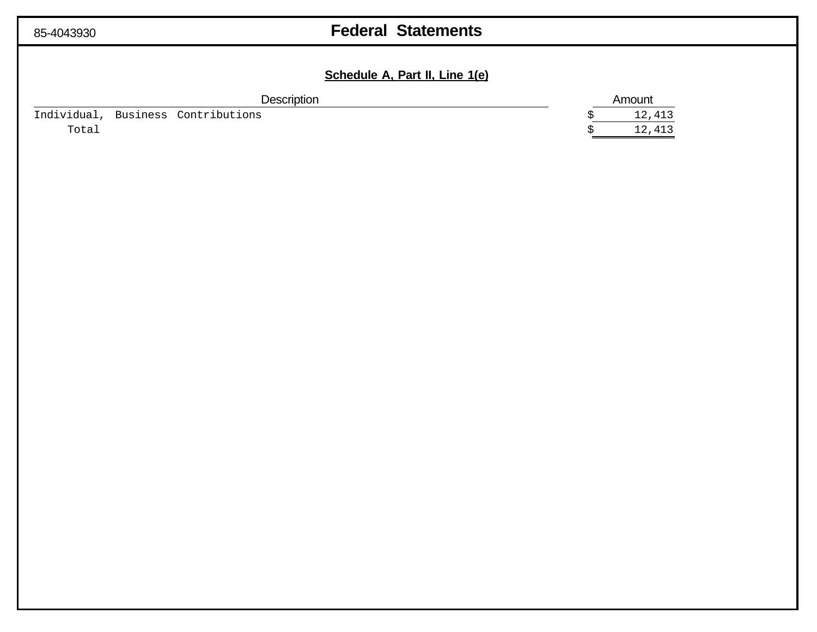| -4043930 |  |
|----------|--|
|          |  |

## 85-4043930 **Federal Statements**

### **Schedule A, Part II, Line 1(e)**

| Description |          | Amount        |        |
|-------------|----------|---------------|--------|
| Individual  | Business | Contributions | 12,413 |
| Total       |          |               | 12,413 |